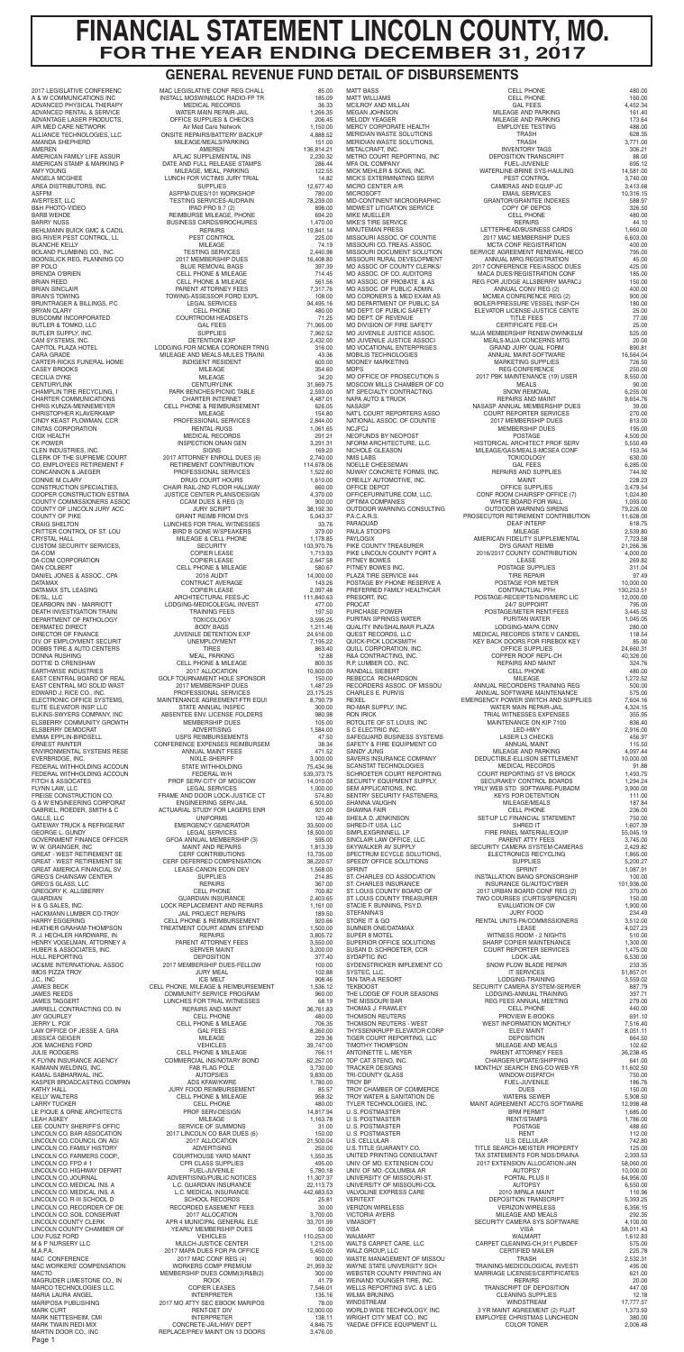|                                                          | .                                                                  | . .                    |
|----------------------------------------------------------|--------------------------------------------------------------------|------------------------|
| 2017 LEGISLATIVE CONFERENC                               | MAC LEGISLATIVE CONF REG CHALL                                     | 85.00                  |
| A & W COMMUNICATIONS INC<br>ADVANCED PHYSICAL THERAPY    | INSTALL MOSWIN&LOC RADIO-FP TR                                     | 185.09                 |
| ADVANCED RENTAL & SERVICE                                | <b>MEDICAL RECORDS</b><br>WATER MAIN REPAIR-JAIL                   | 36.33<br>1,266.35      |
| ADVANTAGE LASER PRODUCTS,                                | OFFICE SUPPLIES & CHECKS                                           | 206.45                 |
| AIR MED CARE NETWORK                                     | Air Med Care Network                                               | 1,150.00               |
| ALLIANCE TECHNOLOGIES, LLC                               | ONSITE REPAIRS/BATTERY BACKUP                                      | 4,888.52               |
| AMANDA SHEPHERD                                          | MILEAGE/MEALS/PARKING                                              | 151.00                 |
| AMEREN<br>AMERICAN FAMILY LIFE ASSUR                     | AMEREN<br>AFLAC SUPPLEMENTAL INS                                   | 136,814.21<br>2,230.32 |
| AMERICAN STAMP & MARKING P                               | DATE AND FULL RELEASE STAMPS                                       | 286.44                 |
| <b>AMY YOUNG</b>                                         | MILEAGE, MEAL, PARKING                                             | 122.55                 |
| ANGELA MCGHEE                                            | LUNCH FOR VICTIMS JURY TRIAL                                       | 14.82                  |
| AREA DISTRIBUTORS, INC.<br><b>ASFPM</b>                  | <b>SUPPLIES</b><br>ASFPM-DUES/101 WORKSHOP                         | 12,677.40              |
| AVERTEST, LLC                                            | TESTING SERVICES-AUDRAIN                                           | 780.00<br>78,239.00    |
| <b>B&amp;H PHOTO-VIDEO</b>                               | IPAD PRO 9.7 (2)                                                   | 898.00                 |
| <b>BARB WEHDE</b>                                        | REIMBURSE MILEAGE, PHONE                                           | 694.20                 |
| <b>BARRY NUSS</b>                                        | <b>BUSINESS CARDS/BROCHURES</b>                                    | 1,470.00               |
| BEHLMANN BUICK GMC & CADIL<br>BIG RIVER PEST CONTROL, LL | <b>REPAIRS</b><br>PEST CONTROL                                     | 19,841.14<br>225.00    |
| <b>BLANCHE KELLY</b>                                     | MILEAGE                                                            | 74.19                  |
| BOLAND PLUMBING CO., INC.                                | <b>TESTING SERVICES</b>                                            | 2,440.98               |
| BOONSLICK REG. PLANNING CO                               | 2017 MEMBERSHIP DUES                                               | 16,408.80              |
| BP POLO<br><b>BRENDA O'BRIEN</b>                         | BLUE REMOVAL BAGS                                                  | 397.39                 |
| <b>BRIAN REED</b>                                        | <b>CELL PHONE &amp; MILEAGE</b><br><b>CELL PHONE &amp; MILEAGE</b> | 714.45<br>561.56       |
| <b>BRIAN SINCLAIR</b>                                    | PARENT ATTORNEY FEES                                               | 7,317.76               |
| <b>BRIAN'S TOWING</b>                                    | TOWING-ASSESSOR FORD EXPL                                          | 108.00                 |
| BRUNTRAGER & BILLINGS, P.C.                              | <b>LEGAL SERVICES</b>                                              | 94,495.16              |
| <b>BRYAN CLARY</b>                                       | <b>CELL PHONE</b>                                                  | 480.00                 |
| <b>BUSCOMM INCORPORATED</b><br>BUTLER & TOMKO, LLC       | <b>COURTROOM HEADSETS</b><br><b>GAL FEES</b>                       | 71.25<br>71,065.00     |
| BUTLER SUPPLY, INC.                                      | <b>SUPPLIES</b>                                                    | 7,962.52               |
| CAM SYSTEMS, INC.                                        | DETENTION EXP                                                      | 2,432.00               |
| CAPITOL PLAZA HOTEL                                      | LODGING FOR MCMEA CORONER TRNG                                     | 316.00                 |
| CARA GRADE                                               | MILEAGE AND MEALS-MULES TRAINI                                     | 43.36                  |
| CARTER-RICKS FUNERAL HOME<br><b>CASEY BROOKS</b>         | INDIGENT RESIDENT<br>MILEAGE                                       | 600.00<br>354.60       |
| <b>CECILIA DYKE</b>                                      | MILEAGE                                                            | 34.20                  |
| <b>CENTURYLINK</b>                                       | CENTURYLINK                                                        | 31,669.75              |
| CHAMPLIN TIRE RECYCLING, I                               | PARK BENCHES/PICNIC TABLE                                          | 2,593.00               |
| CHARTER COMMUNICATIONS                                   | <b>CHARTER INTERNET</b>                                            | 4,487.01               |
| CHRIS KUNZA-MENNEMEYER<br>CHRISTOPHER KLAVERKAMP         | <b>CELL PHONE &amp; REIMBURSEMENT</b><br>MILEAGE                   | 626.05<br>154.80       |
| CINDY KEAST PLOWMAN, CCR                                 | PROFESSIONAL SERVICES                                              | 2,844.00               |
| <b>CINTAS CORPORATION</b>                                | RENTAL-RUGS                                                        | 1,061.65               |
| <b>CIOX HEALTH</b>                                       | <b>MEDICAL RECORDS</b>                                             | 291.21                 |
| <b>CK POWER</b><br>CLEN INDUSTRIES, INC.                 | INSPECTION ONAN GEN<br><b>SIGNS</b>                                | 3,291.31<br>169.20     |
| CLERK OF THE SUPREME COURT                               | 2017 ATTORNEY ENROLL DUES (6)                                      | 2,740.00               |
| CO. EMPLOYEES RETIREMENT F                               | RETIREMENT CONTRIBUTION                                            | 114,678.06             |
| CONCANNON & JAEGER                                       | PROFESSIONAL SERVICES<br>DRUG COURT HOURS                          | 1,522.60               |
| CONNIE M CLARY                                           |                                                                    | 1,610.00               |
| CONSTRUCTION SPECIALTIES,<br>COOPER CONSTRUCTION ESTIMA  | CHAIR RAIL-2ND FLOOR HALLWAY<br>JUSTICE CENTER PLANS/DESIGN        | 660.00<br>4,370.00     |
| COUNTY COMMISSIONERS ASSOC                               | CCAM DUES & REG (3)                                                | 900.00                 |
| COUNTY OF LINCOLN JURY ACC                               | <b>JURY SCRIPT</b>                                                 | 38,192.30              |
| <b>COUNTY OF PIKE</b>                                    | <b>GRANT REIMB FROM DYS</b>                                        | 5,043.37               |
| <b>CRAIG SHELTON</b>                                     | LUNCHES FOR TRIAL WITNESSES                                        | 33.76                  |
| CRITTER CONTROL OF ST. LOU<br><b>CRYSTAL HALL</b>        | <b>BIRD B GONE W/SPEAKERS</b><br>MILEAGE & CELL PHONE              | 379.00<br>1,178.85     |
| <b>CUSTOM SECURITY SERVICES,</b>                         | <b>SECURITY</b>                                                    | 103,970.76             |
| DA-COM                                                   | COPIER LEASE                                                       | 1,713.93               |
| DA-COM CORPORATION                                       | COPIER LEASE                                                       | 2,647.58               |
| DAN COLBERT                                              | <b>CELL PHONE &amp; MILEAGE</b>                                    | 580.67                 |
| DANIEL JONES & ASSOC., CPA<br><b>DATAMAX</b>             | 2016 AUDIT<br>CONTRACT AVERAGE                                     | 14,000.00<br>143.26    |
| DATAMAX STL LEASING                                      | <b>COPIER LEASE</b>                                                | 2,097.48               |
|                                                          | DE/SL, LLC<br>DEARBORN INN - MARRIOTT LODGING-MEDICOLEGAL INVEST   | 111,840.63             |
|                                                          |                                                                    | 477.00                 |
| DEATH INVESTIGATION TRAINI                               | <b>TRAINING FEES</b>                                               | 197.50                 |
| DEPARTMENT OF PATHOLOGY<br>DERMATEC DIRECT               | <b>TOXICOLOGY</b><br><b>BODY BAGS</b>                              | 3,595.25<br>1,211.46   |
| DIRECTOR OF FINANCE                                      |                                                                    | 24,616.00              |
| DIV. OF EMPLOYMENT SECURIT                               | JUVENILE DETENTION EXP<br>UNEMPLOYMENT                             | 7,195.22               |
| DOBBS TIRE & AUTO CENTERS                                | <b>TIRES</b>                                                       | 863.40                 |
| DONNA RUSHING                                            | MEAL, PARKING                                                      | 12.88                  |
| DOTTIE D. CRENSHAW<br>EARTHWISE INDUSTRIES               | <b>CELL PHONE &amp; MILEAGE</b><br>2017 ALLOCATION                 | 800.35<br>10,600.00    |
| EAST CENTRAL BOARD OF REAL                               | GOLF TOURNAMENT HOLE SPONSOR                                       | 150.00                 |
| EAST CENTRAL MO SOLID WAST                               | 2017 MEMBERSHIP DUES                                               | 1,487.29               |
| EDWARD J. RICE CO., INC.                                 | PROFESSIONAL SERVICES                                              | 23,175.25              |
| ELECTRONIC OFFICE SYSTEMS,                               | MAINTENANCE AGREEMENT-FTR EQUI                                     | 8,790.79               |
| ELITE ELEVATOR INSP. LLC<br>ELKINS-SWYERS COMPANY, INC   | STATE ANNUAL INSPEC<br>ABSENTEE ENV. LICENSE FOLDERS               | 300.00<br>980.98       |
| ELSBERRY COMMUNITY GROWTH                                | MEMBERSHIP DUES                                                    | 105.00                 |
| ELSBERRY DEMOCRAT                                        | ADVERTISING                                                        | 1,584.00               |
| EMMA EPPLIN-BIRDSELL                                     | USPS REIMBURSEMENTS<br>CONFERENCE EXPENSES REIMBURSEM              | 47.50                  |
| <b>ERNEST PAINTER</b>                                    |                                                                    | 38.34                  |
| ENVIRONMENTAL SYSTEMS RESE<br>EVERBRIDGE, INC.           | ANNUAL MAINT FEES<br>NIXLE-SHERIFF                                 | 471.52<br>3,000.00     |
| FEDERAL WITHHOLDING ACCOUN                               | STATE WITHHOLDING                                                  | 75,434.96              |
|                                                          |                                                                    |                        |

MATT WILLIAMS MERIDIAN WASTE SOLUTIONS<br>MERIDIAN WASTE SOLUTIONS, TRASH 628.355.356.355.356.357.357.357.358.357.357.357.358.357.357.357.357.357.357.35 MICK'S EXTERMINATING SERVI<br>MICRO CENTER A/R MICROSOFT EMAIL SERVICES<br>MID-CONTINENT MICROGRAPHIC GRANTOR/GRANTEE IN MISSOURI ASSOC. OF COUNTIE 2017 MAC MEMBERSHIP DUES<br>MISSOURI CO TREAS ASSOC. CONTRECTRATION MO DIVISION OF FIRE SAFETY<br>MO JUVENILE JUSTICE ASSOC.<br>MO JUVENILE JUSTICE ASSOCI NAT'L COURT REPORTERS ASSO PIKE COUNTY TREASURER QUALITY INN/SHALIMAR PLAZA<br>QUEST RECORDS, LLC SAFEGUARD BUSINESS SYSTEMS SCANSTAT TECHNOLOGIES SHRED-IT USA, LLC SHRED IT 1,607.39 SPEEDY OFFICE SOLUTIONS TIMOTHY THOMPSON MILEAGE AND MEALS<br>ANTOINETTE L. MEYER TOP CAT STENO, INC. TOP CAT STENO, INC. WASTE MANAGEMENT OF MISSOU<br>WAYNE STATE UNIVERSITY SCH

FITCH & ASSOCATES PROF SERV-CITY OF MOSCOW 14,010.00 FLYNN LAW, LLC LEGAL SERVICES 1,000.00 FREISE CONSTRUCTION CO. FRAME AND DOOR LOCK-JUSTICE CT 574.80 G & W ENGINEERING CORPORAT ENGINEERING SERV-JAIL 6,500.00<br>GABRIEL, ROEDER, SMITH & C ACTUARIAL STUDY FOR LAGERS ENR 921.00 ACTUARIAL STUDY FOR LAGERS ENR 921.00<br>120.48 UNIFORMS 921.00 GATEWAY TRUCK & REFRIGERAT EMERGENCY GENERATOR 33,500.00 GEORGE L. GUNDY LEGAL SERVICES 18,500.00 GOVERNMENT FINANCE OFFICER GFOA ANNUAL MEMBERSHIP (3) 595.00 W. W. GRAINGER, INC MAINT AND REPAIRS 1,813.39 GREAT - WEST RETIREMENT SE CERF CONTRIBUTIONS 13,735.00 CERF DEFERRED COMPENSATION GREAT AMERICA FINANCIAL SV LEASE-CANON ECON DEV 1,568.00 GREG'S CHAINSAW CENTER SUPPLIES 214.85<br>GREG'S GLASS, LLC 267.00 GREG'S GLASS, LLC REPAIRS 367.00 GREGORY K. ALLSBERRY CELL PHONE CELL PHONE 700.82<br>GUARDIAN GUARDIAN INSURANCE 2,403.65 GUARDIAN GUARDIAN INSURANCE 2,403.65 LOCK REPLACEMENT AND REPAIRS 1,161.00<br>JAIL PROJECT REPAIRS 189.50 HARRY EGGERING CELL PHONE & REIMBURSEMENT 920.66 HEATHER GRAHAM-THOMPSON TREATMENT COURT ADMN STIPEND 1,500.00 R. J. HECHLER HARDWARE, IN REPAIRS CHERNEY A REPAIRS 3,805.72<br>HENRY VOGELMAN, ATTORNEY A PARENT ATTORNEY FEES 3,550.00 HENRY VOGELMAN, ATTORNEY A PARENT ATTORNEY FEES 3,550.00 HUBER & ASSOCIATES, INC. SERVER MAINT 3,200.00 IAC&ME INTERNATIONAL ASSOC 2017 MEMBERSHIP DUES-FELLOW 100.00 IMOS PIZZA TROY JURY MEAL 102.88 J.C., INC ICE MELT 908.46 JAMES BECK CELL PHONE, MILEAGE & REIMBURSEMENT 1,536.12 JAMES REEDS COMMUNITY SERVICE PROGRAM 960.00 LUNCHES FOR TRIAL WITNESSES<br>REPAIRS AND MAINT JARRELL CONTRACTING CO. IN REPAIRS AND MAINT 36,761.83 JAY GOURLEY CELL PHONE 480.00 JERRY L. FOX CELL PHONE & MILEAGE 706.35 LAW OFFICE OF JESSE A. GRA GAL FEES 8,260.00 JESSICA GEIGER MILEAGE 229.36 JULIE RODGERS CELL PHONE & MILEAGE 766.11 K FLYNN INSURANCE AGENCY COMMERCIAL INS/NOTARY BOND 62,257.00 KAIMANN WELDING, INC. FAB FLAG POLE 3,730.00<br>
KAMAL SABHARWAL, INC. AUTOPSIES 9,830.00 KAMAL SABHARWAL, INC. AUTOPSIES 9,830.00 KASPER BROADCASTING COMPAN ADS KFAW/KWRE 1,780.00 JURY FOOD REIMBURSEMENT KELLY WALTERS GELL PHONE & MILEAGE 958.32 LARRY TUCKER CELL PHONE 480.00 LE PIQUE & ORNE ARCHITECTS PROF SERV-DESIGN 14,817.94 LEAH ASKEY MILEAGE 1,163.78 LEE COUNTY SHERIFF'S OFFIC SERVICE OF SUMMONS 31.00<br>
LINCOLN CO. BAR ASSOCATION 2017 LINCOLN CO BAR DUES (6) 450.00 2017 LINCOLN CO BAR DUES (6)<br>2017 ALLOCATION<br>ADVERTISING LINCOLN CO. COUNCIL ON AGI 2017 ALLOCATION 21,500.04 LINCOLN CO. FAMILY HISTORY ADVERTISING 250.00 LINCOLN CO. FARMERS COOP., COURTHOUSE YARD MAINT 1,550.35 POR CLASS SUPPLIES 495.00<br>FUEL-JUVENILE 5,780.18 LINCOLN CO. HIGHWAY DEPART FUEL-JUVENILE 5,780.18<br>LINCOLN CO. JOURNAL CONTROLAING ADVERTISING/PUBLIC NOTICES 11,307.37 ADVERTISING/PUBLIC NOTICES<br>L.C. GUARDIAN INSURANCE<br>L.C. MEDICAL INSURANCE LINCOLN CO. MEDICAL INS. A L.C. GUARDIAN INSURANCE 22,113.73 LINCOLN CO. MEDICAL INS. A L.C. MEDICAL INSURANCE 442,683.53 LINCOLN CO. R-III SCHOOL D SCHOOL RECORDS 25.81<br>
LINCOLN CO. RECORDER OF DE RECORDED EASEMENT FEES 30.00 LINCOLN CO. RECORDER OF DE RECORDED EASEMENT FEES 30.00<br>
LINCOLN CO. SOIL CONSERVAT 2017 ALLOCATION 3,700.00 APR 4 MUNICIPAL GENERAL ELE 33,701.99 LINCOLN COUNTY CHAMBER OF THE VEARLY MEMBERSHIP DUES 50.00<br>LOU FUSZ FORD TO MULCH-JUSTICE CENTER 110,253.00<br>MULCH-JUSTICE CENTER 1,215.00 LOU FUSZ FORD VEHICLES 110,253.00 M & P NURSERY LLC MULCH-JUSTICE CENTER 1,215.00 M.A.P.A. 2017 MAPA DUES FOR PA OFFICE 5,450.00<br>MAC CONFERENCE 2017 MAC CONF REG (4) 900.00 POOL 2017 MAC CONF REG (4) 900.00<br>WORKERS COMP PREMIUM 921,959.32 MACTO **MEMBERSHIP DUES COMM(3)R&B(2)** 300.00 MAGRUDER LIMESTONE CO., IN ROCK ROCK 41.79 MARCO TECHNOLOGIES LLC. COPIER LEASES 7,546.01 MARIA LAURA ANGEL 135.16<br>MARIPOSA PUBLISHING 135.16 2017 MO ATTY SEC EBOOK MARIPOS 135.00 MARIPOSA PUBLISHING 2017 MO ATTY SEC EBOOK MARIPOS 78.00 RENT-DET DIV 12,000.00<br>
INTERPRETER 138.11 MARK NETTESHEIM, CMI INTERPRETER 138.11 MARK TWAIN REDI-MIX CONCRETE-JAIL/HWY DEPT 4,846.75 MARTIN DOOR CO., INC REPLACE/PREV MAINT ON 13 DOORS 3,476.00

A & W COMMUNICATIONS INC ALLIANCE TECHNOLOGIES, LLC BIG RIVER PEST CONTROL, LL BRYAN CLARY BUTLER & TOMKO, LLC CASEY BROOKS CHRISTOPHER KLAVERKAMP CLERK OF THE SUPREME COURT COOPER CONSTRUCTION ESTIMA COUNTY OF LINCOLN JURY ACC DERMATEC DIRECT DIV. OF EMPLOYMENT SECURIT EARTHWISE INDUSTRIES EAST CENTRAL MO SOLID WAST ELSBERRY DEMOCRAT FEDERAL WITHHOLDING ACCOUN FEDERAL WITHHOLDING ACCOUN FEDERAL W/H 539,373.75 GALLS, LLC UNIFORMS 120.48 HACKMANN LUMBER CO-TROY<br>HARRY EGGERING<br>HEATHER GRAHAM-THOMPSON HULL REPORTING JOE MACHENS FORD<br>JULIE RODGERS<br>K FLYNN INSURANCE AGENCY LINCOLN CO. SOIL CONSERVAT<br>LINCOLN COUNTY CLERK MAC WORKERS' COMPENSATION Page 1

MATT BASS CELL PHONE 480.00 MCILROY AND MILLAN GAL FEES GAL FEES 4,452.34<br>MEGAN JOHNSON 161 40 MEGAN JOHNSON MILEAGE AND PARKING 161.40 MILEAGE AND PARKING 173.64<br>EMPLOYEE TESTING 488.00 MERCY CORPORATE HEALTH EMPLOYEE TESTING 488.00 MERIDIAN WASTE SOLUTIONS, TRASH 3,771.00<br>METALCRAFT. INC. 306.21 INVENTORY TAGS 306.21<br>DEPOSITION TRANSCRIPT 88.00 METRO COURT REPORTING, INC DEPOSITION TRANSCRIPT 88.00 MFA OIL COMPANY FUEL-JUVENILE 695.12<br>MICK MEHLER & SONS, INC. WATERLINE-BRINE SYS-HAULING 14,581.00 WATERLINE-BRINE SYS-HAULING 14,581.00<br>PEST CONTROL 3,740.00 MICRO CENTER A/R CAMERAS AND EQUIP-JC 3,413.68 GRANTOR/GRANTEE INDEXES 588.97<br>COPY OF DEPOS 326.50 MIDWEST LITIGATION SERVICE COPY OF DEPOS 326.50 MIKE MUELLER 480.00<br>MIKE'S TIRE SERVICE FINITE REPAIRS 480.00 MIKE'S TIRE SERVICE REPAIRS 44.10 LETTERHEAD/BUSINESS CARDS 1,660.00<br>2017 MAC MEMBERSHIP DUES 6,603.00 MISSOURI CO. TREAS. ASSOC. MCTA CONF REGISTRATION 400.00 SERVICE AGREEMENT RENEWAL-RECO 795.00<br>ANNUAL MRG REGISTRATION 45.00 MISSOURI RURAL DEVELOPMENT ANNUAL MRG REGISTRATION 45.00<br>MO ASSOC OF COUNTY CLERKS/ 2017 CONFERENCE FEE/ASSOC DUES 425.00 MO ASSOC OF COUNTY CLERKS/ 2017 CONFERENCE FEE/ASSOC DUES<br>MO ASSOC. OF CO. AUDITORS MACA DUES/REGISTRATION CONF MO ASSOC. OF CO. AUDITORS MACA DUES/REGISTRATION CONF 185.00 REG FOR JUDGE ALLSBERRY MAPACJ<br>ANNUAL CONV REG (2) MO ASSOC. OF PUBLIC ADMIN. ANNUAL CONV REG (2) 400.00 MO CORONER'S & MED EXAM AS MOMEA CONFERENCE REG (2) 900.00<br>MO DEPARTMENT OF PUBLIC SA BOILER/PRESSURE VESSEL INSP-CH 180.00 MO DEPARTMENT OF PUBLIC SA BOILER/PRESSURE VESSEL INSP-CH 180.00 ELEVATOR LICENSE-JUSTICE CENTE 25.00<br>77.00 77.00 MO DEPT. OF REVENUE THE SAFETY FOR TITLE FEES THE SAFETY AND DIVISION OF FIRE SAFETY SAFETY TO CHRITIFICATE FEE-CH MO JUVENILE JUSTICE ASSOC. MJJA MEMBERSHIP RENEW-DWINKELM 525.00 MO JUVENILE JUSTICE ASSOCI MEALS-MJJA CONCERNS MTG 20.00 MO VOCATIONAL ENTERPRISES GRAND JURY QUAL FORM 890.81 ANNUAL MAINT-SOFTWARE 16,564.04<br>MARKETING SUPPLIES 726.50 MOONEY MARKETING MARKETING SUPPLIES 726.50 MOPS MORS<br>MO OFFICE OF PROSECUTION S 2017 PBK MAINTENANCE (19) USER 250.00<br>MOSCOW MILLS CHAMBER OF CO MEALS MEALS MEALS MO OFFICE OF PROSECUTION S 2017 PBK MAINTENANCE (19) USER 8,550.00 MOSCOW MILLS CHAMBER OF CO MEALS 90.00 MT SPECIALTY CONTRACTING CONTRACTING SNOW REMOVAL 6,255.00<br>
NAPA AUTO & TRUCK CONTRACTING REPAIRS AND MAINT 9,654.76 NAPA AUTO & TRUCK REPAIRS AND MAINT 9,654.76 NASASP ANNUAL MEMBERSHIP DUES 39.00<br>COURT REPORTER SERVICES 270.00 NATIONAL ASSOC. OF COUNTIE 2017 MEMBERSHIP DUES 813.00 MEMBERSHIP DUES 195.00<br>POSTAGE 4,500.00 NEOFUNDS BY NEOPOST POSTAGE 4,500.00 NFORM ARCHITECTURE, LLC. HISTORICAL ARCHITECT PROF SERV 5,550.49 NICHOLE GLEASON MILEAGE/GAS/MEALS-MCSEA CONF 153.34 **TOXICOLOGY** NOELLE CHEESEMAN GAL FEES 6,285.00 NUWAY CONCRETE FORMS, INC. REPAIRS AND SUPPLIES 744.92 O'REILLY AUTOMOTIVE, INC.<br>
OFFICE DEPOT 228.23<br>
OFFICE SUPPLIES 3,479.54 OFFICE DEPOT 1.479.54<br>
OFFICE SUPPLIES 3,479.54<br>
OFFICE (7) 1,024.80 OFFICEFURNITURE.COM, LLC. CONF ROOM CHAIRSFP OFFICE (7) 1,024.80 WHITE BOARD FOR WALL<br>OUTDOOR WARNING SIRENS OUTDOOR WARNING CONSULTING OUTDOOR WARNING SIRENS 79,226.00 P.A.C.A.R.S. PROSECUTOR RETIREMENT CONTRIBUTION 11,628.00 PARAMUNICAL DEAF INTERP 618.75<br>MILEAGE 2,539.80 PAULA STOOPS MILEAGE 2,539.80 AMERICAN FIDELITY SUPPLEMENTAL  $7,723.58$ <br>DYS GRANT REIMB 21,266.36 PIKE LINCOLN COUNTY PORT A 2016/2017 COUNTY CONTRIBUTION 4,000.00 PITNEY BOWES LEASE 269.82 POSTAGE SUPPLIES 311.04<br>TIRE REPAIR 311.04<br>97.49 PLAZA TIRE SERVICE #44 TIRE REPAIR THE REPAIR 97.49<br>POSTAGE BY PHONE RESERVE A POSTAGE FOR METER 10,000.00 POSTAGE BY PHONE RESERVE A POSTAGE FOR METER 10,000.00<br>PREFERRED FAMILY HEALTHCAR CONTRACTUAL PFH 130,253.51 PREFERRED FAMILY HEALTHCAR CONTRACTUAL PFH 130,253.51 PRESORT, INC. <br>POSTAGE-RECEIPTS/NIDS/MERC LIC<br>24/7 SUPPOIRT PROCAT 24/7 SUPPOIRT 795.00 POSTAGE/METER RENT/FEES 3,445.52<br>PURITAN WATER 1,045.05 PURITAN SPRINGS WATER PURITAN WATER 1,045.05<br>QUALITY INN/SHALIMAR PLAZA LODGING-MAPA CONV 280.00 QUEST RECORDS, LLC MEDICAL RECORDS STATE V CANDEL 118.54 KEY BACK DOORS FOR FIREBOX KEY<br>OFFICE SUPPLIES QUILL CORPORATION, INC. OFFICE SUPPLIES 24,660.31 COPPER ROOF REPL-CH 40,326.00<br>REPAIRS AND MAINT 324.76 R.P. LUMBER CO., INC. REPAIRS AND MAINT 324.76 RANDALL SIEBERT CELL PHONE 480.00 REBECCA RICHARDSON MILEAGE 1,272.52 RECORDERS ASSOC. OF MISSOU ANNUAL RECORDERS TRAINING REG 500.00 CHARLES E. PURVIS ANNUAL SOFTWARE MAINTENANCE 575.00 REXEL EMERGENCY POWER SWITCH AND SUPPLIES 7,604.16 RO-MAR SUPPLY, INC. WATER MAIN REPAIR-JAIL 4,324.15 TRIAL WITNESSES EXPENSES 355.95<br>MAINTENANCE ON KIP 7100 336.40 ROTOLITE OF ST. LOUIS, INC MAINTENANCE ON KIP 7100 836.40 S C ELECTRIC INC. LED-HWY 2,916.00 SAFETY & FIRE EQUIPMENT CO<br>
SAFETY & FIRE EQUIPMENT CO<br>
SANDY JUNG ANNUAL MAINT MILEAGE AND PARKING AND THE RESEARCH AND MILEAGE AND PARKING AND MAINT SANDY JUNG MILEAGE AND PARKING 4,097.44 DEDUCTIBLE-ELLISON SETTLEMENT 10,000.00<br>91.88 931.88 PECORDS SCHROETER COURT REPORTING COURT REPORTING ST VS BROCK 1,493.75<br>SECURITY EQUIPMENT SUPPLY, SECURAKEY CONTROL BOARDS 1,294.24<br>SEM APPLICATIONS, INC. YRLY WEB STD SOFTWARE-PUBADM 3,900.00 SECURITY EQUIPMENT SUPPLY, SECURAKEY CONTROL BOARDS 1,294.24 SEM APPLICATIONS, INC. YRLY WEB STD SOFTWARE-PUBADM 3,900.00 SENTRY SECURITY FASTENERS, THE THEORY OF THE SECURITY FASTENERS, THE THEORY OF THE METAL SECURITY FASTENERS, THEORY OF THE MULTIPLE OF THE MULTIPLE OF THE MULTIPLE OF THE MULTIPLE OF THE MULTIPLE OF THE MULTIPLE OF THE MUL SHANNA VAUGHN MILEAGE/MEALS 187.84 SHAWNA FAIR CELL PHONE 236.00 SET-UP LC FINANCIAL STATEMENT 750.00<br>SHRED IT 1,607.39<br>FIRE PANEL MATERIAL/EQUIP 755,045.19 FIRE PANEL MATERIAL/EQUIP 55,045.19<br>PARENT ATTY FEES 3,745.00 SINCLAIR LAW OFFICE, LLC. THE SECURITY CAMERA SYSTEM-CAMERAS 3,745.00<br>SKYWALKER AV SUPPLY SECURITY CAMERA SYSTEM-CAMERAS 2,429.82 SECURITY CAMERA SYSTEM-CAMERAS 2,429.82<br>ELECTRONICS RECYCLING 1,865.00 SPECTRUM ECYCLE SOLUTIONS, ELECTRONICS RECYCLING 1,865.00 SPRINT 1,087.91 ST. CHARLES CO ASSOCIATION INSTALLATION BANQ SPONSORSHIP 100.00 ST. CHARLES INSURANCE INSURANCE GL/AUTO/CYBER 101,936.00 ST. LOUIS COUNTY BOARD OF 2017 URBAN BOARD CONF REG (2) 370.00<br>ST. LOUIS COUNTY TREASURER TWO COURSES (CURTIS/SPENCER) 150.00 TWO COURSES (CURTIS/SPENCER)<br>EVALUATION OF CW STACIE F. BUNNING, PSY.D. EVALUATION OF CW 1,900.00 STEFANINA'S 234.49<br>STORE IT & GO 234.49<br>SUMNER ONE/DATAMAX RENTAL UNITS-PA/COMMISSIONERS 23,512.00<br>4,027.23 LEASE LEASE 24,027.23 STORE IT & GO RENTAL UNITS-PA/COMMISSIONERS 3,512.00 SUMNER ONE/DATAMAX LEASE 4,027.23 SUPER 8 MOTEL WITNESS ROOM - 2 NIGHTS 510.00 SUPERIOR OFFICE SOLUTIONS SHARP COPIER MAINTENANCE 1,300.00 SUSAN D. SCHROETER, CCR COURT REPORTER SERVICES 1,475.00 SYDAPTIC INC LOCK-JAIL 6,530.00 SYDENSTRICKER IMPLEMENT CO SNOW PLOW BLADE REPAIR  $\overline{233.35}$ <br>SYSTEC, LLC. 651,857.01 SYSTEC, LLC. IT SERVICES 51,857.01 TAN-TAR-A RESORT LODGING-TRAINING 3,559.02<br>TEKBOOST SASS SASS SECURITY CAMERA SYSTEM-SERVER 387.79 SECURITY CAMERA SYSTEM-SERVER 687.79<br>LODGING-ANNUAL TRAINING 397.71 THE LODGE OF FOUR SEASONS LODGING-ANNUAL TRAINING 397.71 REG FEES ANNUAL MEETING 279.00<br>CELL PHONE 440.00<br>PROVIEW E-BOOKS 691.10 THOMAS J. FRAWLEY CELL PHONE 440.00 THOMSON REUTERS PROVIEW E-BOOKS 691.10 THOMSON REUTERS - WEST WEST INFORMATION MONTHLY THOMSON REUTERS - WEST INFORMATION MONTHLY THE SOLUTION OF THE<br>THYSSENKRUPP ELEVATOR CORP ELEV MAINT FLEV MAINT THYSSENKRUPP ELEVATOR CORP ELEV MAINT 8,051.11 TIGER COURT REPORTING, LLC DEPOSITION 664.50 ANTOINETTE L. MEYER PARENT ATTORNEY FEES 36,238.45 TOP CAT STENO, INC. CHARGER/UPDATE/SHIPPING 641.00 TRACKER DESIGNS MONTHLY SEARCH ENG-CO WEB-YR 11,602.50 TRI-COUNTY GLASS WINDOW-DISPATCH 750.00 TUEL-JUVENILE 186.76<br>DUES 150.00 TROY CHAMBER OF COMMERCE TROY CHAMBER OF COMMERCE DUES<br>TROY WATER & SANITATION DE WATER& SEWER TYLER TECHNOLOGIES, INC. TYLER TECHNOLOGIES, INC. TROY WATER & SANITATION DE WATER& SEWER 5,908.50 TYLER TECHNOLOGIES, INC. MAINT AGREEMENT ACCTG SOFTWARE 12,998.48 U. S. POSTMASTER BRM PERMIT 1,685.00 U. S. POSTMASTER RENT/STAMPS 1,786.00 U. S. POSTMASTER POSTAGE 488.60 U. S. POSTMASTER RENT 112.00 U.S. CELLULAR U.S. CELLULAR 742.80 U.S. TITLE GUARANTY CO. TITLE SEARCH-MEISTER PROPERTY 125.00 UNITED PRINTING CONSULTANT TAX STATEMENTS FOR NIDS/DRAINA 2,393.53<br>
UNIV. OF MO. EXTENSION COU 2017 EXTENSION ALLOCATION-JAN 58,060.00 UNIV. OF MO. EXTENSION COU 2017 EXTENSION ALLOCATION-JAN 58,060.00 UNIV. OF MO.-COLUMBIA AR AUTOPSY 10,000.00 UNIVERSITY OF MISSOURI-ST. PORTAL PLUS II 64,956.00 UNIVERSITY OF MISSOURI-COL AUTOPSY 6,550.00 VALVOLINE EXPRESS CARE 2010 IMPALA MAINT 2010 IMPALA MAINT VERITEXT DEPOSITION TRANSCRIPT 5,393.25 VERIZON WIRELESS VERIZON WIRELESS 6,356.15 VICTORIA AYERS MILEAGE AND MEALS 292.35 SECURITY CAMERA SYS SOFTWARE VISA VISA 58,011.43 WALMART 1,612.83 WALT'S CARPET CARE, LLC CARPET CLEANING-CH,911,PUBDEF 575.00 CERTIFIED MAILER 225.78<br>TRASH 2,532.31 TRAINING-MEDICOLOGICAL INVESTI 495.00 WEBSTER COUNTY PRINTING AN MARRIAGE LICENSES/CERTIFICATES 621.00 WEINAND YOUNGER TIRE, INC. REPAIRS 20.00 WEILLS REPORTING SVC. & LEG TRANSCRIPT OF DEPOSITION 447.00<br>WILMA BRUNING SVC. & LEG CLEANING SUPPLIES 12.18 WILMA BRUNING CLEANING SUPPLIES 12.18 WINDSTREAM WINDSTREAM 17,777.57 3 YR MAINT AGREEMENT (2) FUJIT WRIGHT CITY MEAT CO., INC **EMPLOYEE CHRISTMAS LUNCHEON** 380.00 YAEDAE OFFICE EQUIPMENT LL COLOR TONER 2,006.48

## **FINANCIAL STATEMENT LINCOLN COUNTY, MO. FOR THE YEAR ENDING DECEMBER 31, 2017**

#### **GENERAL REVENUE FUND DETAIL OF DISBURSEMENTS**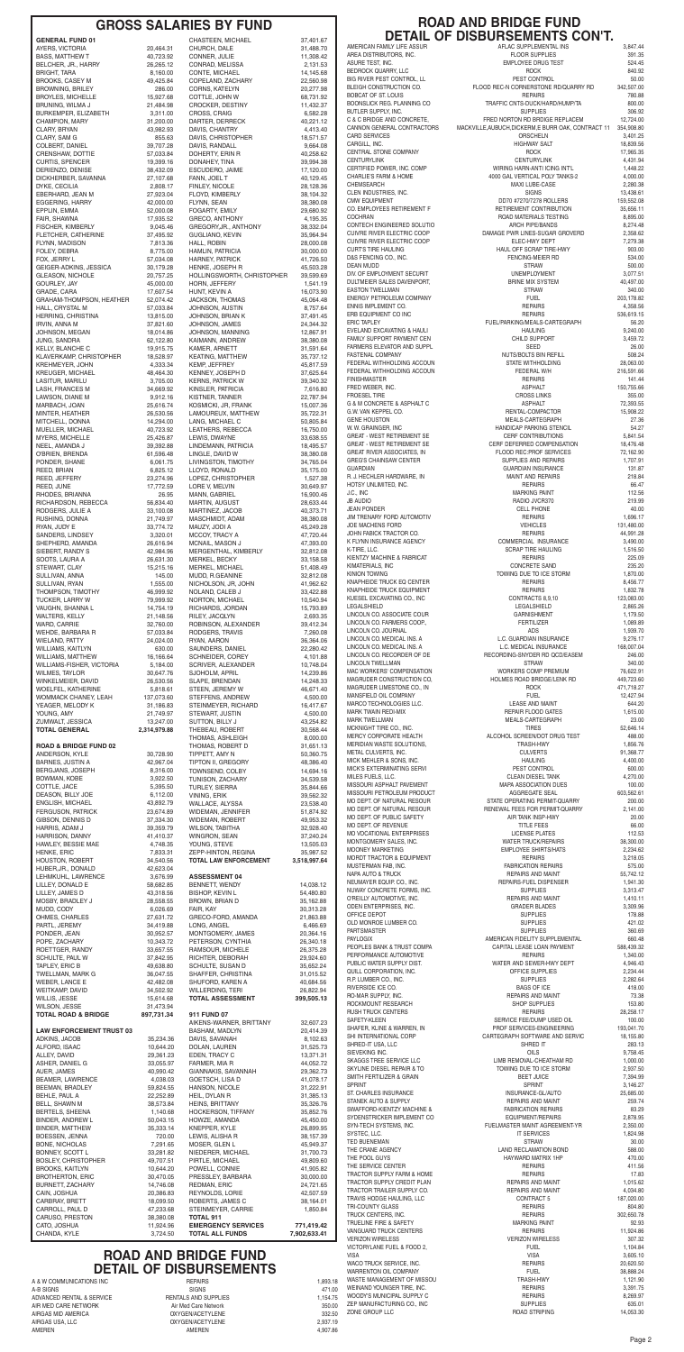A & W COMMUNICATIONS INC REPAIRS 1,893.18 A-B SIGNS SIGNS 471.00 ADVANCED RENTAL & SERVICE RENTALS AND SUPPLIES<br>AIR MED CARE NETWORK AND AIR Med Care Network AIR MED CARE NETWORK<br>AIRGAS MID AMERICA AIRGAS MID AMERICA OXYGEN/ACETYLENE 332.50 AIRGAS USA, LLC OXYGEN/ACETYLENE 2,937.19 AMEREN 4,907.86

Page 2

#### **ROAD AND BRIDGE FUND DETAIL OF DISBURSEMENTS CON'T.**

VISA VISA 3,605.10 WACO TRUCK SERVICE, INC. REPAIRS 20,620.50 VARRENTON OIL COMPANY FUEL FUEL SURFENTON OIL COMPANY AND SURFENT OF MISSOU س کے بارے کے بین کے بین کے بین کے بین کریں کر ہے ۔<br>1,121.90 TRASH-HWY 1,121.90 TRASH-HWY 1,121.90 TRASH-HWY 1,121.90 WEINAND YOUNGER TIRE, INC. WEINAND YOUNGER TIRE, INC. REPAIRS 3,391.75

ZEP MANUFACTURING CO., INC SUPPLIES 635.01

1,154.75 WOODY'S MUNICIPAL SUPPLY C<br>1,154.75 WOODY'S MUNICIPAL SUPPLY C<br>350.00 ZEP MANUFACTURING CO., INC SUPPLIES

332.50 ZONE GROUP LLC

| <b>GENERAL FUND 01</b>                             |
|----------------------------------------------------|
| AYERS, VICTORIA                                    |
| <b>BASS, MATTHEW T</b><br>BELCHER, JR., HARRY      |
| BRIGHT, TARA                                       |
| <b>BROOKS, CASEY M</b>                             |
| <b>BROWNING, BRILEY</b>                            |
| <b>BROYLES, MICHELLE</b>                           |
| BRUNING, WILMA J                                   |
| BURKEMPER, ELIZABETH                               |
| <b>CHAMPION, MARY</b><br>CLARY, BRYAN              |
| CLARY, SAM G                                       |
| COLBERT, DANIEL                                    |
| CRENSHAW, DOTTIE                                   |
| <b>CURTIS, SPENCER</b>                             |
| DERIENZO, DENISE                                   |
| DICKHERBER, SAVANNA                                |
| DYKE, CECILIA                                      |
| EBERHARD, JEAN M                                   |
| EGGERING, HARRY<br>EPPLIN, EMMA                    |
| FAIR, SHAWNA                                       |
| FISCHER, KIMBERLY                                  |
| FLETCHER, CATHERINE                                |
| FLYNN, MADISON                                     |
| FOLEY, DEBRA                                       |
| FOX, JERRY L                                       |
| GEIGER-ADKINS, JESSICA                             |
| <b>GLEASON, NICHOLE</b><br>GOURLEY, JAY            |
| GRADE, CARA                                        |
| GRAHAM-THOMPSON, HEATHI                            |
| HALL, CRYSTAL M                                    |
| HERRING, CHRISTINA                                 |
| IRVIN, ANNA M                                      |
| JOHNSON, MEGAN                                     |
| JUNG, SANDRA                                       |
| <b>KELLY, BLANCHE C</b><br>KLAVERKAMP, CHRISTOPHER |
| <b>KREHMEYER, JOHN</b>                             |
| KREUGER, MICHAEL                                   |
| LASITUR, MARILU                                    |
| LASH, FRANCES M                                    |
| LAWSON, DIANE M                                    |
| MARBACH, JOAN                                      |
| MINTER, HEATHER                                    |
| MITCHELL, DONNA<br>MUELLER, MICHAEL                |
| MYERS, MICHELLE                                    |
| NEEL, AMANDA J                                     |
| O'BRIEN, BRENDA                                    |
| PONDER, SHANE                                      |
| REED, BRIAN                                        |
| REED, JEFFERY                                      |
| REED, JUNE                                         |
| RHODES, BRIANNA                                    |
| RICHARDSON, REBECCA<br>RODGERS, JULIE A            |
| RUSHING, DONNA                                     |
| RYAN, JUDY E                                       |
| SANDERS, LINDSEY                                   |
| SHEPHERD, AMANDA                                   |
| SIEBERT, RANDY S                                   |
| SOOTS, LAURA A                                     |
| STEWART, CLAY                                      |
| SULLIVAN, ANNA                                     |
| SULLIVAN, RYAN<br>THOMPSON, TIMOTHY                |
| TUCKER, LARRY W                                    |
| VAUGHN, SHANNA L                                   |
| WALTERS, KELLY                                     |
| WARD, CARRIE                                       |
| WEHDE, BARBARA R                                   |
| WIELAND, PATTY                                     |
| WILLIAMS, KAITLYN                                  |
| WILLIAMS, MATTHEW<br>WILLIAMS-FISHER, VICTORIA     |
| WILMES, TAYLOR                                     |
| WINKELMEIER, DAVID                                 |
| WOELFEL, KATHERINE                                 |
| WOMMACK CHANEY, LEAH                               |
| YEAGER, MELODY K                                   |
| YOUNG, AMY                                         |
| ZUMWALT, JESSICA                                   |
| <b>TOTAL GENERAL</b>                               |
| <b>CLIB</b>                                        |

| AYERS, VICTORIA                                        | 20,464.31               | CHURCH, DALE                                | 31,488.70              | AMERICAN FAMILY LIFE ASSUR                               | AFLAC SUPPLEMENTAL INS                                 | 3,847.44                |
|--------------------------------------------------------|-------------------------|---------------------------------------------|------------------------|----------------------------------------------------------|--------------------------------------------------------|-------------------------|
| <b>BASS, MATTHEW T</b>                                 | 40,723.92               | CONNER, JULIE                               | 11,308.42              | AREA DISTRIBUTORS, INC.                                  | <b>FLOOR SUPPLIES</b>                                  | 391.35                  |
| BELCHER, JR., HARRY                                    | 26,265.12               | CONRAD, MELISSA                             | 2,131.53               | ASURE TEST, INC.                                         | <b>EMPLOYEE DRUG TEST</b>                              | 524.45                  |
| <b>BRIGHT, TARA</b>                                    | 8,160.00                | CONTE, MICHAEL                              | 14,145.68              | BEDROCK QUARRY, LLC                                      | <b>ROCK</b>                                            | 840.92                  |
| <b>BROOKS, CASEY M</b>                                 | 49,425.84               | COPELAND, ZACHARY                           | 22,560.98              | BIG RIVER PEST CONTROL, LL                               | PEST CONTROL                                           | 50.00                   |
| <b>BROWNING, BRILEY</b>                                | 286.00                  | <b>CORNS, KATELYN</b>                       | 20,277.98              | BLEIGH CONSTRUCTION CO.                                  | FLOOD REC-N CORNERSTONE RD/QUARRY RD                   | 342,507.00              |
| <b>BROYLES, MICHELLE</b>                               | 15,927.68               | COTTLE, JOHN W                              | 68,731.92              | <b>BOBCAT OF ST. LOUIS</b>                               | <b>REPAIRS</b>                                         | 780.88                  |
| BRUNING, WILMA J                                       | 21,484.98               | CROCKER, DESTINY                            | 11,432.37              | BOONSLICK REG. PLANNING CO                               | TRAFFIC CNTS-DUCK/HARD/HUMP/TA                         | 800.00                  |
| BURKEMPER, ELIZABETH                                   | 3,311.00                | <b>CROSS, CRAIG</b>                         | 6,582.28               | BUTLER SUPPLY, INC.                                      | <b>SUPPLIES</b>                                        | 306.92                  |
| <b>CHAMPION, MARY</b>                                  | 31,200.00               | DARTER, DERRECK                             | 40,221.12              | C & C BRIDGE AND CONCRETE,                               | FRED NORTON RD BRDIGE REPLACEM                         | 12,724.00               |
| CLARY, BRYAN                                           | 43,982.93               | DAVIS, CHANTRY                              | 4,413.40               | CANNON GENERAL CONTRACTORS                               | MACKVILLE, AUBUCH, DICKERM, E BURR OAK, CONTRACT 11    | 354,908.80              |
| CLARY, SAM G                                           | 855.63                  | DAVIS, CHRISTOPHER                          | 18,571.57              | <b>CARD SERVICES</b>                                     | <b>ORSCHELN</b>                                        | 3,401.25                |
| COLBERT, DANIEL                                        | 39,707.28               | DAVIS, RANDALL                              | 9,664.08               | CARGILL, INC.                                            | <b>HIGHWAY SALT</b>                                    | 18,839.56               |
| CRENSHAW, DOTTIE                                       | 57,033.84               | DOHERTY, ERIN R                             | 40,258.62              | CENTRAL STONE COMPANY                                    | <b>ROCK</b>                                            | 17,965.35               |
| CURTIS, SPENCER                                        | 19,399.16               | DONAHEY, TINA                               | 39,994.38              | <b>CENTURYLINK</b>                                       | <b>CENTURYLINK</b>                                     | 4,431.94                |
| DERIENZO, DENISE                                       | 38,432.09               | ESCUDERO, JAIME                             | 17,120.00              | CERTIFIED POWER, INC. COMP                               | WIRING HARN-ANTI ICING INT'L                           | 1,448.22                |
| DICKHERBER, SAVANNA                                    | 27,107.68               | FANN, JOEL T                                | 40,129.45              | <b>CHARLIE'S FARM &amp; HOME</b>                         | 4000 GAL VERTICAL POLY TANKS-2                         | 4,000.00                |
| DYKE, CECILIA                                          | 2,808.17                | FINLEY, NICOLE                              | 28,128.36              | CHEMSEARCH                                               | <b>MAXI LUBE-CASE</b>                                  | 2,280.38                |
| EBERHARD, JEAN M                                       | 27,923.04               | FLOYD, KIMBERLY                             | 38,104.32<br>38,380.08 | CLEN INDUSTRIES, INC.<br><b>CMW EQUIPMENT</b>            | <b>SIGNS</b><br>DD70 #7270/7278 ROLLERS                | 13,438.61<br>159,552.08 |
| EGGERING, HARRY                                        | 42,000.00               | FLYNN, SEAN                                 | 29,680.92              | CO. EMPLOYEES RETIREMENT F                               | RETIREMENT CONTRIBUTION                                | 35,656.11               |
| EPPLIN, EMMA                                           | 52,000.08               | <b>FOGARTY, EMILY</b>                       |                        | <b>COCHRAN</b>                                           | ROAD MATERIALS TESTING                                 | 8,895.00                |
| FAIR, SHAWNA                                           | 17,935.52               | <b>GRECO, ANTHONY</b>                       | 4,195.35               | CONTECH ENGINEERED SOLUTIO                               | <b>ARCH PIPE/BANDS</b>                                 | 8,274.48                |
| FISCHER, KIMBERLY                                      | 9,045.46                | GREGORY, JR., ANTHONY                       | 38,332.04              | <b>CUIVRE RIVER ELECTRIC COOP</b>                        | DAMAGE PWR LINES-SUGAR GROVERD                         | 2,358.62                |
| FLETCHER, CATHERINE<br>FLYNN, MADISON                  | 37,495.92<br>7,813.36   | GUGLIANO, KEVIN<br><b>HALL, ROBIN</b>       | 35,964.94<br>28.000.08 | <b>CUIVRE RIVER ELECTRIC COOP</b>                        | ELEC-HWY DEPT                                          | 7,279.38                |
| FOLEY, DEBRA                                           | 8,775.00                | HAMLIN, PATRICIA                            | 30,000.00              | <b>CURT'S TIRE HAULING</b>                               | HAUL OFF SCRAP TIRE-HWY                                | 903.00                  |
| FOX, JERRY L                                           | 57,034.08               | <b>HARNEY, PATRICK</b>                      | 41,726.50              | D&S FENCING CO., INC.                                    | FENCING-MEIER RD                                       | 534.00                  |
| GEIGER-ADKINS, JESSICA                                 | 30,179.28               | HENKE, JOSEPH R                             | 45,503.28              | <b>DEAN MUDD</b>                                         | <b>STRAW</b>                                           | 500.00                  |
| <b>GLEASON, NICHOLE</b>                                | 20,757.25               | HOLLINGSWORTH, CHRISTOPHER                  | 39,599.69              | DIV. OF EMPLOYMENT SECURIT                               | <b>UNEMPLOYMENT</b>                                    | 3,077.51                |
| GOURLEY, JAY                                           | 45,000.00               | HORN, JEFFERY                               | 1,541.19               | DULTMEIER SALES DAVENPORT,                               | <b>BRINE MIX SYSTEM</b>                                | 40,497.00               |
| GRADE, CARA                                            | 17,607.54               | HUNT, KEVIN A                               | 16,073.90              | <b>EASTON TWELLMAN</b>                                   | <b>STRAW</b>                                           | 340.00                  |
| GRAHAM-THOMPSON, HEATHER                               | 52,074.42               | JACKSON, THOMAS                             | 45,064.48              | ENERGY PETROLEUM COMPANY                                 | <b>FUEL</b>                                            | 203,178.82              |
| HALL, CRYSTAL M                                        | 57,033.84               | JOHNSON, AUSTIN                             | 8,757.64               | ENNIS IMPLEMENT CO.                                      | <b>REPAIRS</b>                                         | 4,358.56                |
| HERRING, CHRISTINA                                     | 13,815.00               | JOHNSON, BRIAN K                            | 37,491.45              | ERB EQUIPMENT CO INC                                     | <b>REPAIRS</b>                                         | 536,619.15              |
| IRVIN, ANNA M                                          | 37,821.60               | JOHNSON, JAMES                              | 24,344.32              | <b>ERIC TAPLEY</b>                                       | FUEL/PARKING/MEALS-CARTEGRAPH                          | 56.20                   |
| JOHNSON, MEGAN                                         | 18,014.86<br>62,122.80  | <b>JOHNSON, MANNING</b>                     | 12,867.91<br>38,380.08 | EVELAND EXCAVATING & HAULI<br>FAMILY SUPPORT PAYMENT CEN | <b>HAULING</b><br>CHILD SUPPORT                        | 9,240.00<br>3,459.72    |
| JUNG, SANDRA<br>KELLY, BLANCHE C                       | 19,915.75               | KAIMANN, ANDREW<br>KAMER, ARNETT            | 31,591.64              | FARMERS ELEVATOR AND SUPPL<br><b>FASTENAL COMPANY</b>    | <b>SEED</b><br>NUTS/BOLTS BIN REFILL                   | 26.00<br>508.24         |
| KLAVERKAMP, CHRISTOPHER                                | 18,528.97               | <b>KEATING, MATTHEW</b>                     | 35,737.12              | FEDERAL WITHHOLDING ACCOUN                               | STATE WITHHOLDING                                      | 28,063.00               |
| <b>KREHMEYER, JOHN</b>                                 | 4,333.34                | <b>KEMP, JEFFREY</b>                        | 45,817.59              | FEDERAL WITHHOLDING ACCOUN                               | FEDERAL W/H                                            |                         |
| <b>KREUGER, MICHAEL</b><br>LASITUR, MARILU             | 48,464.30<br>3,705.00   | KENNEY, JOSEPH D<br><b>KERNS, PATRICK W</b> | 37,625.64<br>39,340.32 | <b>FINISHMASTER</b>                                      | <b>REPAIRS</b>                                         | 216,591.66<br>141.44    |
| LASH, FRANCES M                                        | 34,669.92               | KINSLER, PATRICIA                           | 7,616.80               | FRED WEBER. INC.                                         | <b>ASPHALT</b>                                         | 150,755.66              |
| LAWSON, DIANE M                                        | 9,912.16                | KISTNER, TANNER                             | 22,787.94              | <b>FROESEL TIRE</b>                                      | <b>CROSS LINKS</b>                                     | 355.00                  |
| MARBACH, JOAN                                          | 25,616.74               | KOSMICKI, JR, FRANK                         | 15,007.36              | G & M CONCRETE & ASPHALT C                               | <b>ASPHALT</b>                                         | 72,393.55               |
| MINTER, HEATHER                                        | 26,530.56               | LAMOUREUX, MATTHEW                          | 35,722.31              | G.W. VAN KEPPEL CO.                                      | RENTAL-COMPACTOR                                       | 15,908.22               |
| MITCHELL, DONNA                                        | 14,294.00               | LANG. MICHAEL C                             | 50,805.84              | <b>GENE HOUSTON</b>                                      | MEALS-CARTEGRAPH                                       | 27.36                   |
| MUELLER, MICHAEL                                       | 40,723.92               | LEATHERS, REBECCA                           | 16,750.00              | W. W. GRAINGER, INC                                      | <b>HANDICAP PARKING STENCIL</b>                        | 54.27                   |
| MYERS, MICHELLE                                        | 25,426.87               | LEWIS, DWAYNE                               | 33,638.55              | <b>GREAT - WEST RETIREMENT SE</b>                        | <b>CERF CONTRIBUTIONS</b>                              | 5,841.54                |
| NEEL, AMANDA J                                         | 39,392.88               | LINDEMANN, PATRICIA                         | 18,495.57              | <b>GREAT - WEST RETIREMENT SE</b>                        | CERF DEFERRED COMPENSATION                             | 18,476.48               |
| O'BRIEN, BRENDA                                        | 61,596.48               | LINGLE, DAVID W                             | 38,380.08              | GREAT RIVER ASSOCIATES, IN                               | FLOOD REC: PROF SERVICES                               | 72,162.90               |
| PONDER, SHANE                                          | 6,061.75                | LIVINGSTON, TIMOTHY                         | 34,765.04              | <b>GREG'S CHAINSAW CENTER</b>                            | SUPPLIES AND REPAIRS                                   | 1,707.91                |
| REED, BRIAN                                            | 6,825.12                | LLOYD, RONALD                               | 35,175.00              | <b>GUARDIAN</b><br>R. J. HECHLER HARDWARE, IN            | <b>GUARDIAN INSURANCE</b><br><b>MAINT AND REPAIRS</b>  | 131.87<br>218.84        |
| REED, JEFFERY                                          | 23,274.96               | LOPEZ, CHRISTOPHER                          | 1,527.38               | HOTSY UNLIMITED, INC.                                    | <b>REPAIRS</b>                                         | 66.47                   |
| REED, JUNE                                             | 17,772.59               | LORE V, MELVIN                              | 30,649.97              | J.C., INC                                                | <b>MARKING PAINT</b>                                   | 112.56                  |
| RHODES, BRIANNA<br>RICHARDSON, REBECCA                 | 26.95<br>56,834.40      | MANN, GABRIEL<br>MARTIN, AUGUST             | 16,900.46<br>28,633.44 | <b>JB AUDIO</b>                                          | RADIO JVCR370                                          | 219.99                  |
| RODGERS, JULIE A                                       | 33.100.08               | MARTINEZ, JACOB                             | 40,373.71              | <b>JEAN PONDER</b>                                       | <b>CELL PHONE</b>                                      | 40.00                   |
| RUSHING, DONNA                                         | 21,749.97               | MASCHMIDT, ADAM                             | 38,380.08              | JIM TRENARY FORD AUTOMOTIV                               | <b>REPAIRS</b>                                         | 1,696.17                |
| RYAN, JUDY E                                           | 33,774.72               | MAUZY, JODI A                               | 45,249.28              | <b>JOE MACHENS FORD</b>                                  | <b>VEHICLES</b>                                        | 131,480.00              |
| SANDERS, LINDSEY                                       | 3,320.01                | MCCOY, TRACY A                              | 47,720.44              | JOHN FABICK TRACTOR CO.                                  | <b>REPAIRS</b>                                         | 44,991.28               |
| SHEPHERD, AMANDA                                       | 26,616.94               | MCNAIL, MASON J                             | 47,393.00              | K FLYNN INSURANCE AGENCY                                 | COMMERCIAL INSURANCE                                   | 3,490.00                |
| SIEBERT, RANDY S                                       | 42,984.96               | MERGENTHAL, KIMBERLY                        | 32,812.08              | K-TIRE, LLC.                                             | <b>SCRAP TIRE HAULING</b>                              | 1,516.50                |
| SOOTS, LAURA A                                         | 26,631.30               | MERKEL, BECKY                               | 33,158.58              | KIENTZY MACHINE & FABRICAT                               | <b>REPAIRS</b>                                         | 225.09                  |
| STEWART, CLAY                                          | 15,215.16               | MERKEL, MICHAEL                             | 51,408.49              | KIMATERIALS, INC                                         | <b>CONCRETE SAND</b>                                   | 235.20                  |
| SULLIVAN, ANNA                                         | 145.00                  | MUDD, R.GEANINE                             | 32,812.08              | KINION TOWING                                            | TOWING DUE TO ICE STORM                                | 1,870.00                |
| SULLIVAN, RYAN                                         | 1,555.00                | NICHOLSON, JR, JOHN                         | 41,962.62              | KNAPHEIDE TRUCK EQ CENTER                                | <b>REPAIRS</b>                                         | 8,456.77                |
| THOMPSON, TIMOTHY                                      | 46,999.92               | NOLAND, CALEB J                             | 33,422.88              | KNAPHEIDE TRUCK EQUIPMENT                                | <b>REPAIRS</b>                                         | 1,832.78                |
| TUCKER, LARRY W                                        | 79,999.92               | NORTON, MICHAEL                             | 10,540.94              | KUESEL EXCAVATING CO., INC                               | CONTRACTS 8,9,10                                       | 123,083.00              |
| VAUGHN, SHANNA L<br>WALTERS, KELLY                     | 14,754.19               | RICHARDS, JORDAN                            | 15,793.89              | LEGALSHIELD<br>LINCOLN CO. ASSOCIATE COUR                | LEGALSHIELD<br><b>GARNISHMENT</b>                      | 2,865.26<br>1,179.50    |
| WARD, CARRIE                                           | 21,148.56               | RILEY, JACQLYN                              | 2,693.35               | LINCOLN CO. FARMERS COOP.,                               | <b>FERTILIZER</b>                                      | 1,089.89                |
|                                                        | 32,760.00               | ROBINSON, ALEXANDER                         | 39,412.34              | LINCOLN CO. JOURNAL                                      | ADS                                                    | 1,939.70                |
| WEHDE, BARBARA R                                       | 57,033.84               | RODGERS, TRAVIS                             | 7,260.08               | LINCOLN CO. MEDICAL INS. A                               | L.C. GUARDIAN INSURANCE                                | 9,276.17                |
| <b>WIELAND, PATTY</b>                                  | 24,024.00               | RYAN, AARON                                 | 36,364.06              | LINCOLN CO. MEDICAL INS. A                               | L.C. MEDICAL INSURANCE                                 | 168,007.04              |
| WILLIAMS, KAITLYN<br><b>WILLIAMS, MATTHEW</b>          | 630.00<br>16,166.64     | SAUNDERS, DANIEL<br>SCHNEIDER, COREY        | 22,280.42<br>4,101.88  | LINCOLN CO. RECORDER OF DE                               | RECORDING-SNYDER RD QCD/EASEM                          | 246.00                  |
| WILLIAMS-FISHER, VICTORIA                              | 5,184.00                | SCRIVER, ALEXANDER                          | 10,748.04              | <b>LINCOLN TWELLMAN</b>                                  | <b>STRAW</b>                                           | 340.00                  |
| <b>WILMES, TAYLOR</b>                                  | 30,647.76               | SJOHOLM, APRIL                              | 14,239.86              | MAC WORKERS' COMPENSATION                                | WORKERS COMP PREMIUM                                   | 76,622.91               |
| WINKELMEIER, DAVID                                     | 26,530.56               | SLAPE, BRENDAN                              | 14,248.33              | MAGRUDER CONSTRUCTION CO.                                | HOLMES ROAD BRIDGE/LENK RD                             | 449,723.60              |
| WOELFEL, KATHERINE                                     | 5,818.61                | STEEN, JEREMY W                             | 46,671.40              | MAGRUDER LIMESTONE CO., IN                               | <b>ROCK</b>                                            | 471,718.27              |
| <b>WOMMACK CHANEY, LEAH</b>                            | 137,073.60              | STEFFENS, ANDREW                            | 4,500.00               | MANSFIELD OIL COMPANY                                    | <b>FUEL</b>                                            | 12,427.94               |
| YEAGER, MELODY K                                       | 31,186.83               | STEINMEYER, RICHARD                         | 16,417.67              | MARCO TECHNOLOGIES LLC.                                  | <b>LEASE AND MAINT</b>                                 | 644.20                  |
| YOUNG, AMY                                             | 21,749.97               | STEWART, JUSTIN                             | 4,500.00               | MARK TWAIN REDI-MIX                                      | REPAIR FLOOD GATES                                     | 1,615.00                |
| ZUMWALT, JESSICA                                       | 13,247.00               | SUTTON, BILLY J                             | 43,254.82              | <b>MARK TWELLMAN</b>                                     | MEALS-CARTEGRAPH                                       | 23.00                   |
| <b>TOTAL GENERAL</b>                                   | 2,314,979.88            | THEBEAU, ROBERT<br>THOMAS, ASHLEIGH         | 30,568.44<br>8,000.00  | MCKNIGHT TIRE CO., INC.<br>MERCY CORPORATE HEALTH        | <b>TIRES</b><br>ALCOHOL SCREEN/DOT DRUG TEST           | 52,646.14<br>488.00     |
| <b>ROAD &amp; BRIDGE FUND 02</b>                       | 30,728.90               | THOMAS, ROBERT D                            | 31,651.13              | MERIDIAN WASTE SOLUTIONS,                                | <b>TRASH-HWY</b>                                       | 1,856.76                |
| ANDERSON, KYLE                                         |                         | TIPPETT, AMY N                              | 50.360.75              | METAL CULVERTS, INC.                                     | <b>CULVERTS</b>                                        | 91,368.77               |
| <b>BARNES, JUSTIN A</b>                                | 42,967.04               | TIPTON II, GREGORY                          | 48,386.40              | MICK MEHLER & SONS, INC.<br>MICK'S EXTERMINATING SERVI   | <b>HAULING</b><br>PEST CONTROL                         | 4,400.00<br>600.00      |
| BERGJANS, JOSEPH                                       | 8,316.00                | TOWNSEND, COLBY                             | 14,694.16              | MILES FUELS, LLC.                                        | <b>CLEAN DIESEL TANK</b>                               | 4,270.00                |
| BOWMAN, KOBE                                           | 3,922.50                | TUNISON, ZACHARY                            | 34,539.58              | MISSOURI ASPHALT PAVEMENT                                | MAPA ASSOCIATION DUES                                  | 100.00                  |
| COTTLE, JACE<br>DEASON, BILLY JOE                      | 5,395.50<br>6,112.00    | <b>TURLEY, SIERRA</b><br>VINING, ERIK       | 35,844.66<br>39,562.32 | MISSOURI PETROLEUM PRODUCT<br>MO DEPT. OF NATURAL RESOUR | <b>AGGREGATE SEAL</b>                                  | 603,562.61              |
| ENGLISH, MICHAEL                                       | 43,892.79               | WALLACE, ALYSSA                             | 23,538.40              | MO DEPT. OF NATURAL RESOUR                               | STATE OPERATING PERMIT-QUARRY                          | 200.00                  |
| <b>FERGUSON, PATRICK</b>                               | 23,674.89               | WIDEMAN, JENNIFER                           | 51,874.92              |                                                          | RENEWAL FEES FOR PERMIT-QUARRY                         | 2,141.00                |
| GIBSON, DENNIS D                                       | 37,334.30               | <b>WIDEMAN, ROBERT</b>                      | 49,953.32              | MO DEPT. OF PUBLIC SAFETY                                | AIR TANK INSP-HWY                                      | 20.00                   |
| HARRIS, ADAM J                                         | 39,359.79               | <b>WILSON, TABITHA</b>                      | 32,928.40              | MO DEPT. OF REVENUE                                      | TITLE FEES                                             | 66.00                   |
| HARRISON, DANNY                                        | 41,410.37               | WINGRON, SEAN                               | 37,240.24              | MO VOCATIONAL ENTERPRISES                                | LICENSE PLATES                                         | 112.53                  |
| HAWLEY, BESSIE MAE                                     | 4,748.35                | YOUNG, STEVE                                | 13,505.03              | MONTGOMERY SALES, INC.                                   | <b>WATER TRUCK/REPAIRS</b>                             | 38,300.00               |
| <b>HENKE, ERIC</b>                                     | 7,833.31                | ZEPP-HINTON, REGINA                         | 35,987.52              | MOONEY MARKETING                                         | <b>EMPLOYEE SHIRTS/HATS</b>                            | 2,234.62                |
| HOUSTON, ROBERT                                        | 34,540.56               | <b>TOTAL LAW ENFORCEMENT</b>                | 3,518,997.64           | <b>MORDT TRACTOR &amp; EQUIPMENT</b>                     | <b>REPAIRS</b>                                         | 3,218.05                |
| HUBER, JR., DONALD<br>LEHMKUHL, LAWRENCE               | 42,623.04<br>3.676.99   | <b>ASSESSMENT 04</b>                        |                        | MUSTERMAN FAB, INC.<br><b>NAPA AUTO &amp; TRUCK</b>      | <b>FABRICATION REPAIRS</b><br><b>REPAIRS AND MAINT</b> | 575.00<br>55,742.12     |
| LILLEY, DONALD E                                       | 58,682.85               | BENNETT, WENDY                              | 14,038.12              | NEUMAYER EQUIP. CO., INC.                                | REPAIRS-FUEL DISPENSER                                 | 1,941.30                |
| LILLEY, JAMES D                                        | 43,318.56               | <b>BISHOP, KEVIN L</b>                      | 54,480.80              | NUWAY CONCRETE FORMS. INC.                               | <b>SUPPLIES</b>                                        | 3,313.47                |
| MOSBY, BRADLEY J                                       | 28,558.55               | <b>BROWN, BRIAN D</b><br>FAIR, KAY          | 35,162.88              | O'REILLY AUTOMOTIVE, INC.<br>ODEN ENTERPRISES, INC.      | <b>REPAIRS AND MAINT</b><br><b>GRADER BLADES</b>       | 1,410.11<br>3,309.96    |
| MUDD, CODY                                             | 6,026.69                | GRECO-FORD, AMANDA                          | 30,313.28              | OFFICE DEPOT                                             | <b>SUPPLIES</b>                                        | 178.88                  |
| OHMES, CHARLES                                         | 27,631.72               |                                             | 21,863.88              | OLD MONROE LUMBER CO.                                    | <b>SUPPLIES</b>                                        | 421.02                  |
| PARTL, JEREMY                                          | 34,419.88               | LONG, ANGEL                                 | 6,466.69               | PARTSMASTER                                              | <b>SUPPLIES</b>                                        | 360.69                  |
| PONDER, JEAN                                           | 30,952.57               | MONTGOMERY, JAMES                           | 20,364.16              | <b>PAYLOGIX</b>                                          | AMERICAN FIDELITY SUPPLEMENTAL                         | 660.48                  |
| POPE, ZACHARY<br>ROETTGER, RANDY                       | 10,343.72<br>33,657.55  | PETERSON, CYNTHIA<br>RAMSOUR, MICHELE       | 26,340.18<br>26,375.28 | PEOPLES BANK & TRUST COMPA                               | CAPITAL LEASE LOAN PAYMENT                             | 588,439.32              |
| SCHULTE, PAUL W                                        | 37,842.95               | RICHTER, DEBORAH                            | 29,924.60              | PERFORMANCE AUTOMOTIVE                                   | <b>REPAIRS</b>                                         | 1,340.00                |
| TAPLEY, ERIC B                                         | 49,638.80               | SCHULTE, SUSAN D                            | 35,652.24              | PUBLIC WATER SUPPLY DIST.                                | WATER AND SEWER-HWY DEPT                               | 4,946.43                |
| <b>TWELLMAN, MARK G</b>                                | 36,047.55               | SHAFFER, CHRISTINA                          | 31,015.52              | QUILL CORPORATION. INC.                                  | OFFICE SUPPLIES                                        | 2,234.44                |
| WEBER, LANCE E                                         | 42,482.08               | SHUFORD, KAREN A                            | 40,684.56              | R.P. LUMBER CO., INC.                                    | <b>SUPPLIES</b>                                        | 2,282.64                |
| WEITKAMP, DAVID                                        | 34,502.92               | WILLERDING, TERI                            | 26,822.94              | RIVERSIDE ICE CO.                                        | <b>BAGS OF ICE</b>                                     | 418.00                  |
| WILLIS, JESSE                                          | 15,614.68               | <b>TOTAL ASSESSMENT</b>                     | 399,505.13             | RO-MAR SUPPLY, INC.                                      | REPAIRS AND MAINT                                      | 73.38                   |
| <b>WILSON, JESSE</b><br><b>TOTAL ROAD &amp; BRIDGE</b> | 31,473.94<br>897,731.34 | 911 FUND 07                                 |                        | ROCKMOUNT RESEARCH<br><b>RUSH TRUCK CENTERS</b>          | SHOP SUPPLIES<br><b>REPAIRS</b>                        | 153.80<br>28,258.17     |
| <b>LAW ENFORCEMENT TRUST 03</b>                        |                         | AIKENS-WARNER, BRITTANY<br>BASHAM, MADLYN   | 32,607.23<br>20,414.39 | SAFETY-KLEEN<br>SHAFER, KLINE & WARREN, IN               | SERVICE FEE/DUMP USED OIL<br>PROF SERVICES-ENGINEERING | 100.00<br>193,041.70    |
| ADKINS, JACOB                                          | 35,234.36               | DAVIS, SAVANAH                              | 8,102.63               | SHI INTERNATIONAL CORP<br>SHRED-IT USA, LLC              | CARTEGRAPH SOFTWARE AND SERVIC<br>SHRED IT             | 18,155.80<br>283.13     |
| ALFORD, ISAAC                                          | 10,644.20               | DOLAN, LAUREN                               | 31,525.73              | SIEVEKING INC.                                           | OILS                                                   | 9,758.45                |
| ALLEY, DAVID                                           | 29,361.23               | EDEN, TRACY C                               | 13,371.31              | SKAGGS TREE SERVICE LLC                                  | LIMB REMOVAL-CHEATHAM RD                               | 1,000.00                |
| ASHER, DANIEL G<br>AUER, JAMES                         | 33,055.97<br>40,990.42  | FARMER, MIA R<br>GIANNAKIS, SAVANNAH        | 44,052.72<br>29,362.73 | SKYLINE DIESEL REPAIR & TO                               | TOWING DUE TO ICE STORM                                | 2,937.50                |
| <b>BEAMER, LAWRENCE</b>                                | 4,038.03                | GOETSCH, LISA D                             | 41,078.17              | SMITH FERTILIZER & GRAIN                                 | <b>BEET JUICE</b>                                      | 7,394.99                |
| <b>BEEMAN, BRADLEY</b>                                 | 59,824.55               | HANSON, NICOLE                              | 31,222.91              | <b>SPRINT</b>                                            | <b>SPRINT</b>                                          | 3,146.27                |
| BEHLE, PAUL A                                          | 22,252.89               | HEIL, DYLAN R                               | 31,385.13              | ST. CHARLES INSURANCE                                    | INSURANCE-GL/AUTO                                      | 25,685.00               |
| BELL, SHAWN M                                          | 38,573.84               | <b>HEINS, BRITTANY</b>                      | 35,326.76              | STANEK AUTO & SUPPLY                                     | REPAIRS AND MAINT                                      | 259.74                  |
| BERTELS, SHEENA                                        | 1,140.68                | HOCKERSON, TIFFANY                          | 35,852.76              | SWAFFORD-KIENTZY MACHINE &                               | <b>FABRICATION REPAIRS</b>                             | 83.29                   |
| BINDER, ANDREW L                                       | 50,043.15               | HOWZE, AMANDA                               | 45,450.00              | SYDENSTRICKER IMPLEMENT CO                               | <b>EQUIPMENT/REPAIRS</b>                               | 2,878.95                |
| <b>BINDER, MATTHEW</b>                                 | 35,333.14               | KNEPPER, KYLE                               | 26,899.95              | SYN-TECH SYSTEMS, INC.                                   | FUELMASTER MAINT AGREEMENT-YR                          | 2,350.00                |
| BOESSEN, JENNA                                         | 720.00                  | LEWIS, ALISHA R                             | 38,157.39              | SYSTEC, LLC.                                             | <b>IT SERVICES</b>                                     | 1,824.98                |
| <b>BONE, NICHOLAS</b>                                  | 7,291.65                | MOSER, GLEN L                               | 45,949.37              | TED BUENEMAN                                             | <b>STRAW</b>                                           | 30.00                   |
| BONNEY, SCOTT L                                        | 33,281.82               | NIEDERER, MICHAEL                           | 31,700.73              | THE CRANE AGENCY                                         | LAND RECLAMATION BOND                                  | 588.00                  |
| <b>BOSLEY, CHRISTOPHER</b>                             | 49,707.51               | PIRTLE, MICHAEL                             | 49,809.60              | THE POOL GUYS                                            | HAYWARD MATRIX 1HP                                     | 470.00                  |
| <b>BROOKS, KAITLYN</b>                                 | 10,644.20               | POWELL, CONNIE                              | 41,905.82              | THE SERVICE CENTER                                       | <b>REPAIRS</b>                                         | 411.56                  |
| <b>BROTHERTON, ERIC</b>                                | 30,470.05               | PRESSLEY, BARBARA                           | 30,000.00              | TRACTOR SUPPLY FARM & HOME<br>TRACTOR SUPPLY CREDIT PLAN | <b>REPAIRS</b><br>REPAIRS AND MAINT                    | 17.83<br>1,015.62       |
| <b>BURNETT, ZACHARY</b>                                | 14,746.08               | REDMAN, ERIC                                | 24,721.65              | TRACTOR TRAILER SUPPLY CO.                               | REPAIRS AND MAINT                                      | 4,034.80                |
| CAIN, JOSHUA                                           | 20,386.83               | REYNOLDS, LORIE                             | 42,507.59              | TRAVIS HODGE HAULING, LLC                                | CONTRACT 5                                             | 187,020.00              |
| CARBRAY, BRETT<br>CARROLL, PAUL D                      | 18,099.50<br>47,233.68  | ROBERTS, JAMES C<br>STEINMEYER, CARRIE      | 38,164.01<br>1,850.84  | TRI-COUNTY GLASS                                         | <b>REPAIRS</b>                                         | 804.80                  |
| CARUSO, PRESTON                                        | 38,380.08               | <b>TOTAL 911</b>                            | 771,419.42             | TRUCK CENTERS, INC.                                      | <b>REPAIRS</b>                                         | 302,650.78              |
| CATO, JOSHUA                                           | 11,924.96               | <b>EMERGENCY SERVICES</b>                   |                        | TRUELINE FIRE & SAFETY                                   | <b>MARKING PAINT</b>                                   | 92.93                   |
| CHANDA, KYLE                                           | 3,724.50                | <b>TOTAL ALL FUNDS</b>                      | 7,902,633.41           | VANGUARD TRUCK CENTERS<br><b>VERIZON WIRELESS</b>        | <b>REPAIRS</b><br><b>VERIZON WIRELESS</b>              | 11,924.86<br>307.32     |
|                                                        |                         |                                             |                        | VICTORYLANE FUEL & FOOD 2,                               | <b>FUEL</b>                                            | 1,104.84                |

### **ROAD AND BRIDGE FUND DETAIL OF DISBURSEMENTS**

#### **GROSS SALARIES BY FUND**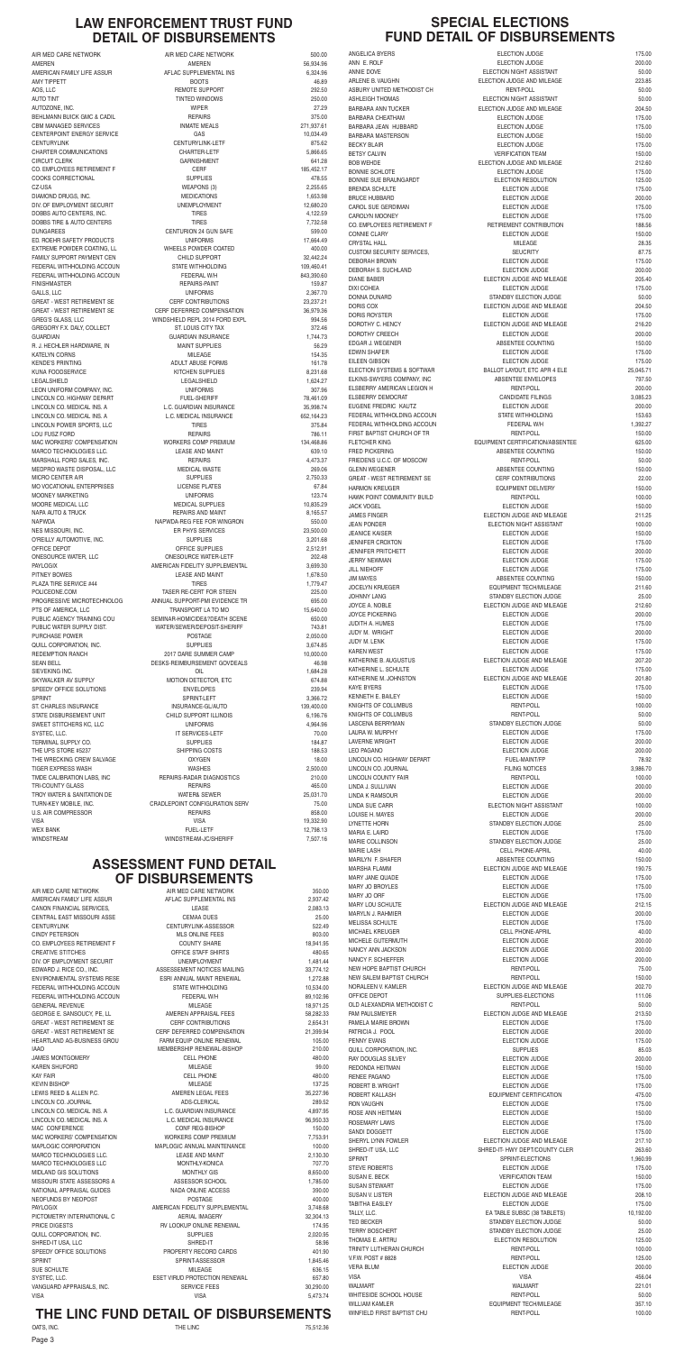#### **THE LINC FUND DETAIL OF DISBURSEMENTS**

### **ASSESSMENT FUND DETAIL** OF DISBURSEMENTS

OATS, INC. THE LINC 75,512.36

WINFIELD FIRST BAPTIST CHU

AIR MED CARE NETWORK AIR MED CARE NETWORK 350.00<br>AMERICAN FAMILY LIFE ASSUR AFLAC SUPPLEMENTAL INS 2.937.42 AMERICAN FAMILY LIFE ASSUR ATLAC SUPPLEMENTAL INS 2,937.42 CANON FINANCIAL SERVICES, LEASE LEASE LEASE 2,083.13 CENTRAL EAST MISSOURI ASSE CEMAA DUES 25.00 CENTURYLINK CENTURYLINK-ASSESSOR 522.49 CINDY PETERSON 803.00 CO. EMPLOYEES RETIREMENT F COUNTY SHARE COUNTY SHARE 18,941.95 CREATIVE STITCHES OFFICE STAFF SHIRTS 480.65 DIV. OF EMPLOYMENT SECURIT UNEMPLOYMENT UNEMPLOYMENT 1.481.44 EDWARD J. RICE CO., INC. ASSESSEMENT NOTICES MAILING 33,774.12 ENVIRONMENTAL SYSTEMS RESE ESRI ANNUAL MAINT RENEWAL 1,272.88 FEDERAL WITHHOLDING ACCOUN STATE WITHHOLDING 10.534.00 FEDERAL WITHHOLDING ACCOUN FEDERAL W/H FEDERAL WITHHOLDING ACCOUN GENERAL REVENUE CONTROL CONTROL IN A MILEAGE CONTROL OF 18,971.25 GEORGE E. SANSOUCY, PE, LL COMPUTER AMERICAL APPRAISAL FEES 58,282,33 GREAT - WEST RETIREMENT SE CERF CONTRIBUTIONS 60 2,654.31 GREAT - WEST RETIREMENT SE CERF DEFERRED COMPENSATION 21,399.94 HEARTLAND AG-BUSINESS GROU FARM EQUIP ONLINE RENEWAL 105.00 IAAO MEMBERSHIP RENEWAL-BISHOP 210.00 JAMES MONTGOMERY CELL PHONE 480.00 KAREN SHUFORD 99.00 KAY FAIR CELL PHONE 480.00 KEVIN BISHOP MILEAGE 137.25 LEWIS REED & ALLEN P.C. The State of AMEREN LEGAL FEES 35,227.96 LINCOLN CO. JOURNAL ADS-CLERICAL 289.52 LINCOLN CO. MEDICAL INS. A L.C. GUARDIAN INSURANCE 4,897.95 LINCOLN CO. MEDICAL INS. A L.C. MEDICAL INSURANCE 96,950.33 MAC CONFERENCE CONFINEG-BISHOP 150.00 MAC WORKERS' COMPENSATION WORKERS COMP PREMIUM  $7.753.91$ MAPLOGIC CORPORATION MAPLOGIC ANNUAL MAINTENANCE 100.00 MARCO TECHNOLOGIES LLC. LEASE AND MAINT 2,130.30 MARCO TECHNOLOGIES LLC MONTHLY-KONICA 707.70 MIDLAND GIS SOLUTIONS GAS AND A MONTHLY GIS AND MONTHLY GIS A SUMMON BLOSS OF MONTHLY GIS MISSOURI STATE ASSESSORS A ASSESSOR SCHOOL ASSESSOR SCHOOL 1,785.00 NATIONAL APPRAISAL GUIDES NADA ONLINE ACCESS 390.00 NEOFUNDS BY NEOPOST **POSTAGE POSTAGE POSTAGE 100.00** PAYLOGIX **AMERICAN FIDELITY SUPPLEMENTAL** 3,748.68 PICTOMETRY INTERNATIONAL C AERIAL IMAGERY AND S2,304.13 PRICE DIGESTS THE RELEASE RV LOOKUP ONLINE RENEWAL THE RESERVE RENEW RELEASE OF THE RENEW RELEASE OF THE RENEW RELEASE OF THE RENEW RELEASE OF THE RENEW RELEASE OF THE RENEW RELEASE OF THE RENEW RELEASE OF THE RENEW RELEAS QUILL CORPORATION, INC. SUPPLIES 2,020.95 SHRED-IT USA, LLC 58.96 SPEEDY OFFICE SOLUTIONS **PROPERTY RECORD CARDS** 401.90 SPRINT SPRINT-ASSESSOR 1,845.46 SUE SCHULTE MILEAGE 636.15 SYSTEC, LLC. ESET VIRUD PROTECTION RENEWAL 657.80 VANGUARD APPRAISALS, INC. The SERVICE FEES SERVICE FEES 30,290.00 VISA VISA 5,473.74

#### **LAW ENFORCEMENT TRUST FUND DETAIL OF DISBURSEMENTS**

AIR MED CARE NETWORK AIR MED CARE NETWORK 500.00 AMEREN 56,934.96 AMERICAN FAMILY LIFE ASSUR **AFLAC SUPPLEMENTAL INS** 6,324.96 AMY TIPPETT AND RESERVE THE SERVE OF SERVER AND RESERVE THE SERVER OF SERVER AND THE SERVER OF SERVER AND A 46.89 AOS, LLC 292.50 AUTO TINT **AUTO TINT CONSUMING A LIGAN CONSUMING A LIGAN CONSUMING A LIGAN CONSUMING A LIGAN CONSUMING A LIGAN CONSUMING A LIGA** AUTOZONE, INC. 27.29 BEHLMANN BUICK GMC & CADIL REPAIRS REPAIRS 375.00 CBM MANAGED SERVICES **INMATE MEALS** 271,937.61 CENTERPOINT ENERGY SERVICE GAS GAS TO A GAS TO A 49 CENTURYLINK CENTURYLINK-LETF 875.62 CHARTER COMMUNICATIONS CHARTER-LETF 5,866.65 CIRCUIT CLERK GARNISHMENT GARNISHMENT 641.28 CO. EMPLOYEES RETIREMENT F CERF CERF CO. EMPLOYEES RETIREMENT F COOKS CORRECTIONAL **SUPPLIES** 478.55 CZ-USA WEAPONS (3) 2,255.65 DIAMOND DRUGS, INC. THE RESERVE OF A SECOND MEDICATIONS AND A SECOND 1,653.98 DIV. OF EMPLOYMENT SECURIT UNEMPLOYMENT UNEMPLOYMENT 12,680.20 DOBBS AUTO CENTERS, INC. TIRES 4,122.59 DOBBS TIRE & AUTO CENTERS TIRES TIRES TIRES TIRES DUNGAREES CENTURION 24 GUN SAFE 599.00 ED. ROEHR SAFETY PRODUCTS UNIFORMS UNIFORMS 17,664.49 EXTREME POWDER COATING, LL WHEELS POWDER COATED 400.00 FAMILY SUPPORT PAYMENT CEN CHILD SUPPORT 32,442.24 FEDERAL WITHHOLDING ACCOUN STATE WITHHOLDING 109,460.41 FEDERAL WITHHOLDING ACCOUN FEDERAL W/H FEDERAL WITHHOLDING ACCOUN FINISHMASTER 159.87 NEPAIRS-PAINT THE REPAIRS-PAINT THE REPAIRS OF A SET AND REPAIRS OF A SET AND REPAIRS. GALLS, LLC UNIFORMS 2,367.70 GREAT - WEST RETIREMENT SE CERF CONTRIBUTIONS 23.237.21 GREAT - WEST RETIREMENT SE CERF DEFERRED COMPENSATION 36,979.36 GREG'S GLASS, LLC WINDSHIELD REPL 2014 FORD EXPL 994.56 GREGORY F.X. DALY, COLLECT ST. LOUIS CITY TAX 372.46 GUARDIAN GUARDIAN INSURANCE 1.744.73 R. J. HECHLER HARDWARE. IN GROUPS AND MAINT SUPPLIES FOR SAME SOLD SOLD ASSESSED. KATELYN CORNS 154.35 KENDE'S PRINTING **ADULT ABUSE FORMS** 161.78 KUNA FOODSERVICE BEEN SUPPLIES ASSESSED A SALICHEN SUPPLIES A SALICHEN SUPPLIES ASSESSED ASSESSED ASSESSED ASSESSED. LEGALSHIELD LEGALSHIELD 1,624.27 LEON UNIFORM COMPANY, INC. UNIFORMS 307.96 LINCOLN CO. HIGHWAY DEPART FUEL-SHERIFF THE RELOCAL TRANSMISSION CO. HIGHWAY DEPART LINCOLN CO. MEDICAL INS. A L.C. GUARDIAN INSURANCE 35,998.74 LINCOLN CO. MEDICAL INS. A L.C. MEDICAL INSURANCE 652,164.23 LINCOLN POWER SPORTS, LLC TIRES TIRES 375.84 LOU FUSZ FORD **REPAIRS REPAIRS REPAIRS REPAIRS REPAIRS REPAIRS REPAIRS REPAIRS REPAIRS REPAIRS REPAIRS** MAC WORKERS' COMPENSATION WORKERS COMP PREMIUM 134,468.86 MARCO TECHNOLOGIES LLC. LEASE AND MAINT 639.10 MARSHALL FORD SALES, INC. THE SALE OF A SERIES AND REPAIRS A 4,473.37 MEDPRO WASTE DISPOSAL, LLC MEDICAL WASTE 269.06 MICRO CENTER A/R SUPPLIES 2.750.33 MO VOCATIONAL ENTERPRISES LICENSE PLATES 67.84 MOONEY MARKETING **NATURE 123.74** UNIFORMS UNIFORMS 123.74 MOORE MEDICAL LLC MEDICAL SUPPLIES 10,835.29 NAPA AUTO & TRUCK REPAIRS AND MAINT 8,165.57 NAPWDA NAPWDA-REG FEE FOR WINGRON 550.00 NES MISSOURI, INC. ER PHYS SERVICES 23,500.00 O'REILLY AUTOMOTIVE. INC. The Contract of the SUPPLIES SUPPLIES 3,201.68 OFFICE DEPOT **OFFICE SUPPLIES** 2,512.91 ONESOURCE WATER, LLC CONESOURCE WATER-LETF 202.48 PAYLOGIX 3699.30 PITNEY BOWES 1,678.50 PLAZA TIRE SERVICE #44 TIRES TIRES 1.779.47 POLICEONE.COM TASER RE-CERT FOR STEEN 225.00 PROGRESSIVE MICROTECHNOLOG ANNUAL SUPPORT-PMI EVIDENCE TR 695.00 PTS OF AMERICA, LLC  $\sqrt{15.640.00}$ PUBLIC AGENCY TRAINING COU SEMINAR-HOMICIDE&?DEATH SCENE 650.00 PUBLIC WATER SUPPLY DIST. WATER/SEWER/DEPOSIT-SHERIFF 743.81 PURCHASE POWER 2,050.00 QUILL CORPORATION, INC. The state of the superior of the SUPPLIES 3,674.85 REDEMPTION RANCH 10,000.00 2017 DARE SUMMER CAMP 10,000.00 SEAN BELL GEAN BELL ASSESSED BESKS-REIMBURSEMENT GOVDEALS AG.98 SIEVEKING INC. OIL 1,684.28 SKYWALKER AV SUPPLY **EXAMPLE AN INCREDITION DETECTOR, ETC** 674.88 SPEEDY OFFICE SOLUTIONS **ENVELOPES** ENVELOPES 239.94 SPRINT SPRINT-LEFT 3,366.72 ST. CHARLES INSURANCE INSURANCE INSURANCE-GL/AUTO 139,400.00 STATE DISBURSEMENT UNIT CHILD SUPPORT ILLINOIS 6,196.76 SWEET STITCHERS KC, LLC UNIFORMS 4,964.96 SYSTEC, LLC. IT SERVICES-LETF 70.00 TERMINAL SUPPLY CO. THE SUPPLIES SUPPLIES AND SUPPLIES TERMINAL SUPPLY CO. THE UPS STORE #5237 SHIPPING COSTS 188.53 THE WRECKING CREW SALVAGE **OXYGEN** OXYGEN **18.00** TIGER EXPRESS WASH **WASHES** WASHES **2,500.00** 

| TMDE CALIBRATION LABS. INC | <b>REPAIRS-RADAR DIAGNOSTICS</b> | 210.00    |
|----------------------------|----------------------------------|-----------|
| TRI-COUNTY GLASS           | <b>REPAIRS</b>                   | 465.00    |
| TROY WATER & SANITATION DE | <b>WATER&amp; SEWER</b>          | 25,031.70 |
| TURN-KEY MOBILE. INC.      | CRADLEPOINT CONFIGURATION SERV   | 75.00     |
| U.S. AIR COMPRESSOR        | <b>REPAIRS</b>                   | 858.00    |
| VISA                       | <b>VISA</b>                      | 19.332.90 |
| WEX BANK                   | <b>FUEL-LETF</b>                 | 12.798.13 |
| WINDSTREAM                 | WINDSTREAM-JC/SHERIFF            | 7.507.16  |

#### **SPECIAL ELECTIONS FUND DETAIL OF DISBURSEMENTS**

ANGELICA BYERS ANNIE DOVE ARLENE B. VAUGHN ASBURY UNITED METHODIST CH **ASHLEIGH THOMAS** BARBARA ANN TUCKER BARBARA CHEATHAM BARBARA JEAN HUBBARD BARBARA MASTERSON BECKY BLAIR BOB WEHDE BONNIE SCHLOTE BONNIE SUE BRAUNGARDT BRENDA SCHULTE **BRUCE HUBBARD** CAROL SUE GERDIMAN CAROLYN MOONEY CO. EMPLOYEES RETIREMENT F **CUSTOM SECURITY SERVICES.** DEBORAH BROWN DEBORAH S. SUCHLAND DONNA DUNARD DORIS ROYSTER DOROTHY C. HENCY DOROTHY CREECH EDGAR J. WEGENER EDWIN SHAFER EILEEN GIBSON ELECTION SYSTEMS & SOFTWAR ELKINS-SWYERS COMPANY, INC. ELSBERRY AMERICAN LEGION H ELSBERRY DEMOCRAT EUGENE FREDRIC KAUTZ FEDERAL WITHHOLDING ACCOUN FEDERAL WITHHOLDING ACCOUN FIRST BAPTIST CHURCH OF TR FLETCHER KING FRIEDENS U.C.C. OF MOSCOW **GLENN WEGENER GREAT - WEST RETIREMENT SE** HARMON KREUGER HAWK POINT COMMUNITY BUILD JAMES FINGER **JEANICE KAISER JENNIFER CROXTON** JENNIFER PRITCHETT **JERRY NEWMAN** JOCELYN KRUEGER JOYCE A. NOBLE **JOYCE PICKERING** JUDITH A. HUMES **JUDY M. WRIGHT** JUDY M. LENK KATHERINE B. AUGUSTUS KATHERINE L. SCHULTE KATHERINE M. JOHNSTON KENNETH E. BAILEY KNIGHTS OF COLUMBUS KNIGHTS OF COLUMBUS LASCENA BERRYMAN LAURA W. MURPHY LAVERNE WRIGHT LINCOLN CO. HIGHWAY DEPART LINCOLN CO. JOURNAL LINCOLN COUNTY FAIR LINDA J. SULLIVAN LINDA K RAMSOUR LOUISE H. MAYES MARIA E. LAIRD MARIE COLLINSON MARILYN F. SHAFER MARSHA FLAMM MARY JANE QUADE MARY JO BROYLES MARY LOU SCHULTE MARYLN J. RAHMIER MELISSA SCHULTE MICHAEL KREUGER MICHELE GUTERMUTH NANCY ANN JACKSON NANCY F. SCHIEFFER NEW HOPE BAPTIST CHURCH NEW SALEM BAPTIST CHURCH NORALEEN V. KAMLER OFFICE DEPOT OLD ALEXANDRIA METHODIST C PAM PAULSMEYER PAMELA MARIE BROWN PATRICIA J. POOL QUILL CORPORATION, INC. RAY DOUGLAS SILVEY REDONDA HEITMAN RENEE PAGANO ROBERT B. WRIGHT ROBERT KALLASH RON VAUGHN ROSE ANN HEITMAN ROSEMARY LAWS SANDI DOGGETT SHERYL LYNN FOWLER SHRED-IT USA, LLC STEVE ROBERTS SUSAN E. BECK SUSAN STEWART SUSAN V. LISTER TABITHA EASLEY TERRY BOSCHERT THOMAS E. ARTRU TRINITY LUTHERAN CHURCH V.F.W. POST # 8828 WHITESIDE SCHOOL HOUSE WILLIAM KAMLER

| ANGELICA BYERS                    | <b>ELECTION JUDGE</b>            | 175.00    |
|-----------------------------------|----------------------------------|-----------|
| ANN E. ROLF                       | <b>ELECTION JUDGE</b>            | 200.00    |
| ANNIE DOVE                        | ELECTION NIGHT ASSISTANT         | 50.00     |
| ARLENE B. VAUGHN                  | ELECTION JUDGE AND MILEAGE       | 223.85    |
| ASBURY UNITED METHODIST CH        | <b>RENT-POLL</b>                 | 50.00     |
| ASHLEIGH THOMAS                   | ELECTION NIGHT ASSISTANT         | 50.00     |
| BARBARA ANN TUCKER                | ELECTION JUDGE AND MILEAGE       | 204.50    |
| BARBARA CHEATHAM                  | ELECTION JUDGE                   | 175.00    |
| BARBARA JEAN HUBBARD              | <b>ELECTION JUDGE</b>            | 175.00    |
| BARBARA MASTERSON                 | <b>ELECTION JUDGE</b>            | 150.00    |
| <b>BECKY BLAIR</b>                | ELECTION JUDGE                   | 175.00    |
| <b>BETSY CALVIN</b>               | <b>VERIFICATION TEAM</b>         | 150.00    |
| <b>BOB WEHDE</b>                  | ELECTION JUDGE AND MILEAGE       | 212.60    |
| <b>BONNIE SCHLOTE</b>             | <b>ELECTION JUDGE</b>            | 175.00    |
| BONNIE SUE BRAUNGARDT             | ELECTION RESOLUTION              | 125.00    |
| BRENDA SCHULTE                    | <b>ELECTION JUDGE</b>            | 175.00    |
| BRUCE HUBBARD                     | <b>ELECTION JUDGE</b>            | 200.00    |
| CAROL SUE GERDIMAN                | ELECTION JUDGE                   | 175.00    |
| CAROLYN MOONEY                    | <b>ELECTION JUDGE</b>            | 175.00    |
| CO. EMPLOYEES RETIREMENT F        | RETIREMENT CONTRIBUTION          | 188.56    |
| <b>CONNIE CLARY</b>               | <b>ELECTION JUDGE</b>            | 150.00    |
| CRYSTAL HALL                      | <b>MILEAGE</b>                   | 28.35     |
| CUSTOM SECURITY SERVICES,         | <b>SEUCRITY</b>                  | 87.75     |
| DEBORAH BROWN                     | ELECTION JUDGE                   | 175.00    |
| DEBORAH S. SUCHLAND               | <b>ELECTION JUDGE</b>            | 200.00    |
| DIANE BABER                       | ELECTION JUDGE AND MILEAGE       | 205.40    |
| DIXI COHEA                        | <b>ELECTION JUDGE</b>            | 175.00    |
| DONNA DUNARD                      | STANDBY ELECTION JUDGE           | 50.00     |
| DORIS COX                         | ELECTION JUDGE AND MILEAGE       | 204.50    |
| DORIS ROYSTER                     | ELECTION JUDGE                   | 175.00    |
| DOROTHY C. HENCY                  | ELECTION JUDGE AND MILEAGE       | 216.20    |
| DOROTHY CREECH                    | <b>ELECTION JUDGE</b>            | 200.00    |
| EDGAR J. WEGENER                  | ABSENTEE COUNTING                | 150.00    |
| EDWIN SHAFER                      | <b>ELECTION JUDGE</b>            | 175.00    |
| EILEEN GIBSON                     | ELECTION JUDGE                   | 175.00    |
| ELECTION SYSTEMS & SOFTWAR        | BALLOT LAYOUT, ETC APR 4 ELE     | 25,045.71 |
| ELKINS-SWYERS COMPANY. INC        | ABSENTEE ENVELOPES               | 797.50    |
| ELSBERRY AMERICAN LEGION H        | <b>RENT-POLL</b>                 | 200.00    |
| ELSBERRY DEMOCRAT                 | <b>CANDIDATE FILINGS</b>         | 3,085.23  |
| EUGENE FREDRIC KAUTZ              | <b>ELECTION JUDGE</b>            | 200.00    |
| FEDERAL WITHHOLDING ACCOUN        | STATE WITHHOLDING                | 153.63    |
| FEDERAL WITHHOLDING ACCOUN        | <b>FEDERAL W/H</b>               | 1,392.27  |
| FIRST BAPTIST CHURCH OF TR        | <b>RENT-POLL</b>                 | 150.00    |
| FLETCHER KING                     | EQUIPMENT CERTIFICATION/ABSENTEE | 625.00    |
| FRED PICKERING                    | ABSENTEE COUNTING                | 150.00    |
| FRIEDENS U.C.C. OF MOSCOW         | <b>RENT-POLL</b>                 | 50.00     |
| GLENN WEGENER                     | ABSENTEE COUNTING                | 150.00    |
| <b>GREAT - WEST RETIREMENT SE</b> | <b>CERF CONTRIBUTIONS</b>        | 22.00     |
| HARMON KREUGER                    | <b>EQUIPMENT DELIVERY</b>        | 150.00    |
| HAWK POINT COMMUNITY BUILD        | RENT-POLL                        | 100.00    |
| JACK VOGEL                        | ELECTION JUDGE                   | 150.00    |
| JAMES FINGER                      | ELECTION JUDGE AND MILEAGE       | 211.25    |
| <b>JEAN PONDER</b>                | ELECTION NIGHT ASSISTANT         | 100.00    |
| <b>JEANICE KAISER</b>             | <b>ELECTION JUDGE</b>            | 150.00    |
| <b>JENNIFER CROXTON</b>           | ELECTION JUDGE                   | 175.00    |
| <b>JENNIFER PRITCHETT</b>         | ELECTION JUDGE                   | 200.00    |
| JERRY NEWMAN                      | <b>ELECTION JUDGE</b>            | 175.00    |
| JILL NIEHOFF                      | ELECTION JUDGE                   | 175.00    |
| JIM MAYES                         | ABSENTEE COUNTING                | 150.00    |
| JOCELYN KRUEGER                   | EQUIPMENT TECH/MILEAGE           | 211.60    |
| JOHNNY LANG                       | STANDBY ELECTION JUDGE           | 25.00     |
| JOYCE A. NOBLE                    | ELECTION JUDGE AND MILEAGE       | 212.60    |
| JOYCE PICKERING                   | ELECTION JUDGE                   | 200.00    |
| JUDITH A. HUMES                   | ELECTION JUDGE                   | 175.00    |
| JUDY M. WRIGHT                    | <b>ELECTION JUDGE</b>            | 200.00    |
| JUDY M. LENK                      | ELECTION JUDGE                   | 175.00    |
| KAREN WEST                        | ELECTION JUDGE                   | 175.00    |
| KATHERINE B. AUGUSTUS             | ELECTION JUDGE AND MILEAGE       | 207.20    |
| KATHERINE L. SCHULTE              | ELECTION JUDGE                   | 175.00    |
| KATHERINE M. JOHNSTON             | ELECTION JUDGE AND MILEAGE       | 201.80    |
| KAYE BYERS                        | ELECTION JUDGE                   | 175.00    |
| KENNETH E. BAILEY                 | ELECTION JUDGE                   | 150.00    |
| KNIGHTS OF COLUMBUS               | RENT-POLL                        | 100.00    |
| KNIGHTS OF COLUMBUS               | RENT-POLL                        | 50.00     |
| LASCENA BERRYMAN                  | STANDBY ELECTION JUDGE           | 50.00     |
| LAURA W. MURPHY                   | <b>ELECTION JUDGE</b>            | 175.00    |
| LAVERNE WRIGHT                    | <b>ELECTION JUDGE</b>            | 200.00    |
| LEO PAGANO                        | ELECTION JUDGE                   | 200.00    |
| LINCOLN CO. HIGHWAY DEPART        | FUEL-MAINT/FP                    | 78.92     |
| LINCOLN CO. JOURNAL               | <b>FILING NOTICES</b>            | 3,986.70  |
| LINCOLN COUNTY FAIR               | <b>RENT-POLL</b>                 | 100.00    |
| LINDA J. SULLIVAN                 | <b>ELECTION JUDGE</b>            | 200.00    |
| linda k ramsour                   | <b>ELECTION JUDGE</b>            | 200.00    |
| LINDA SUE CARR                    | ELECTION NIGHT ASSISTANT         | 100.00    |
| LOUISE H. MAYES                   | ELECTION JUDGE                   | 200.00    |
| LYNETTE HORN                      | STANDBY ELECTION JUDGE           | 25.00     |
| MARIA E. LAIRD                    | <b>ELECTION JUDGE</b>            | 175.00    |
| MARIE COLLINSON                   | STANDBY ELECTION JUDGE           | 25.00     |
| <b>MARIE LASH</b>                 | <b>CELL PHONE-APRIL</b>          | 40.00     |
| MARILYN F. SHAFER                 | ABSENTEE COUNTING                | 150.00    |
| MARSHA FLAMM                      | ELECTION JUDGE AND MILEAGE       | 190.75    |
| MARY JANE QUADE                   | <b>ELECTION JUDGE</b>            | 175.00    |
| <b>MARY JO BROYLES</b>            | <b>ELECTION JUDGE</b>            | 175.00    |
| MARY JO ORF                       | ELECTION JUDGE                   | 175.00    |
| MARY LOU SCHULTE                  | ELECTION JUDGE AND MILEAGE       | 212.15    |
| MARYLN J. RAHMIER                 | <b>ELECTION JUDGE</b>            | 200.00    |
| MELISSA SCHULTE                   | <b>ELECTION JUDGE</b>            | 175.00    |
| MICHAEL KREUGER                   | <b>CELL PHONE-APRIL</b>          | 40.00     |
| MICHELE GUTERMUTH                 | ELECTION JUDGE                   | 200.00    |
| NANCY ANN JACKSON                 | ELECTION JUDGE                   | 200.00    |
| NANCY F. SCHIEFFER                | <b>ELECTION JUDGE</b>            | 200.00    |
| NEW HOPE BAPTIST CHURCH           | RENT-POLL                        | 75.00     |
| NEW SALEM BAPTIST CHURCH          | <b>RENT-POLL</b>                 | 150.00    |
| NORALEEN V. KAMLER                | ELECTION JUDGE AND MILEAGE       | 202.70    |
| OFFICE DEPOT                      | SUPPLIES-ELECTIONS               | 111.06    |
| OLD ALEXANDRIA METHODIST C        | <b>RENT-POLL</b>                 | 50.00     |
| PAM PAULSMEYER                    | ELECTION JUDGE AND MILEAGE       | 213.50    |
| PAMELA MARIE BROWN                | <b>ELECTION JUDGE</b>            | 175.00    |
| PATRICIA J. POOL                  | <b>ELECTION JUDGE</b>            | 200.00    |
| PENNY EVANS                       | <b>ELECTION JUDGE</b>            | 175.00    |
| QUILL CORPORATION, INC.           | <b>SUPPLIES</b>                  | 85.03     |
| RAY DOUGLAS SILVEY                | ELECTION JUDGE                   | 200.00    |
| REDONDA HEITMAN                   | <b>ELECTION JUDGE</b>            | 150.00    |
| RENEE PAGANO                      | ELECTION JUDGE                   | 175.00    |
| ROBERT B. WRIGHT                  | ELECTION JUDGE                   | 175.00    |
| ROBERT KALLASH                    | EQUIPMENT CERTIFICATION          | 475.00    |
| RON VAUGHN                        | <b>ELECTION JUDGE</b>            | 175.00    |
| ROSE ANN HEITMAN                  | <b>ELECTION JUDGE</b>            | 150.00    |
| ROSEMARY LAWS                     | <b>ELECTION JUDGE</b>            | 175.00    |
| SANDI DOGGETT                     | <b>ELECTION JUDGE</b>            | 175.00    |
| SHERYL LYNN FOWLER                | ELECTION JUDGE AND MILEAGE       | 217.10    |
| SHRED-IT USA, LLC                 | SHRED-IT- HWY DEPT/COUNTY CLER   | 263.60    |
| SPRINT                            | SPRINT-ELECTIONS                 | 1,960.99  |
| <b>STEVE ROBERTS</b>              | ELECTION JUDGE                   | 175.00    |
| SUSAN E. BECK                     | <b>VERIFICATION TEAM</b>         | 150.00    |
| SUSAN STEWART                     | <b>ELECTION JUDGE</b>            | 175.00    |
| SUSAN V. LISTER                   | ELECTION JUDGE AND MILEAGE       | 208.10    |
| TABITHA EASLEY                    | <b>ELECTION JUDGE</b>            | 175.00    |
| TALLY, LLC.                       | EA TABLE SUBSC (38 TABLETS)      | 10,192.00 |
| TED BECKER                        | STANDBY ELECTION JUDGE           | 50.00     |
| <b>TERRY BOSCHERT</b>             | STANDBY ELECTION JUDGE           | 25.00     |
| THOMAS E. ARTRU                   | ELECTION RESOLUTION              | 125.00    |
| TRINITY LUTHERAN CHURCH           | RENT-POLL                        | 100.00    |
| V.F.W. POST # 8828                | <b>RENT-POLL</b>                 | 125.00    |
| <b>VERA BLUM</b>                  | <b>ELECTION JUDGE</b>            | 200.00    |
| VISA                              | <b>VISA</b>                      | 456.04    |
| WALMART                           | WALMART                          | 221.01    |
| WHITESIDE SCHOOL HOUSE            | <b>RENT-POLL</b>                 | 50.00     |
| WILLIAM KAMLER                    | <b>EQUIPMENT TECH/MILEAGE</b>    | 357.10    |
| WINFIFI D FIRST RAPTIST CHI I     | RENT-POLL                        | 100.00    |

| TIVILLE UALIDHATIUIN LADO. IINU |
|---------------------------------|
| TRI-COUNTY GLASS                |
| TROY WATER & SANITATION DE      |
| TURN-KEY MOBILE. INC.           |
| <b>U.S. AIR COMPRESSOR</b>      |
| VISA                            |
| WEX BANK                        |
| WINDSTREAM                      |
|                                 |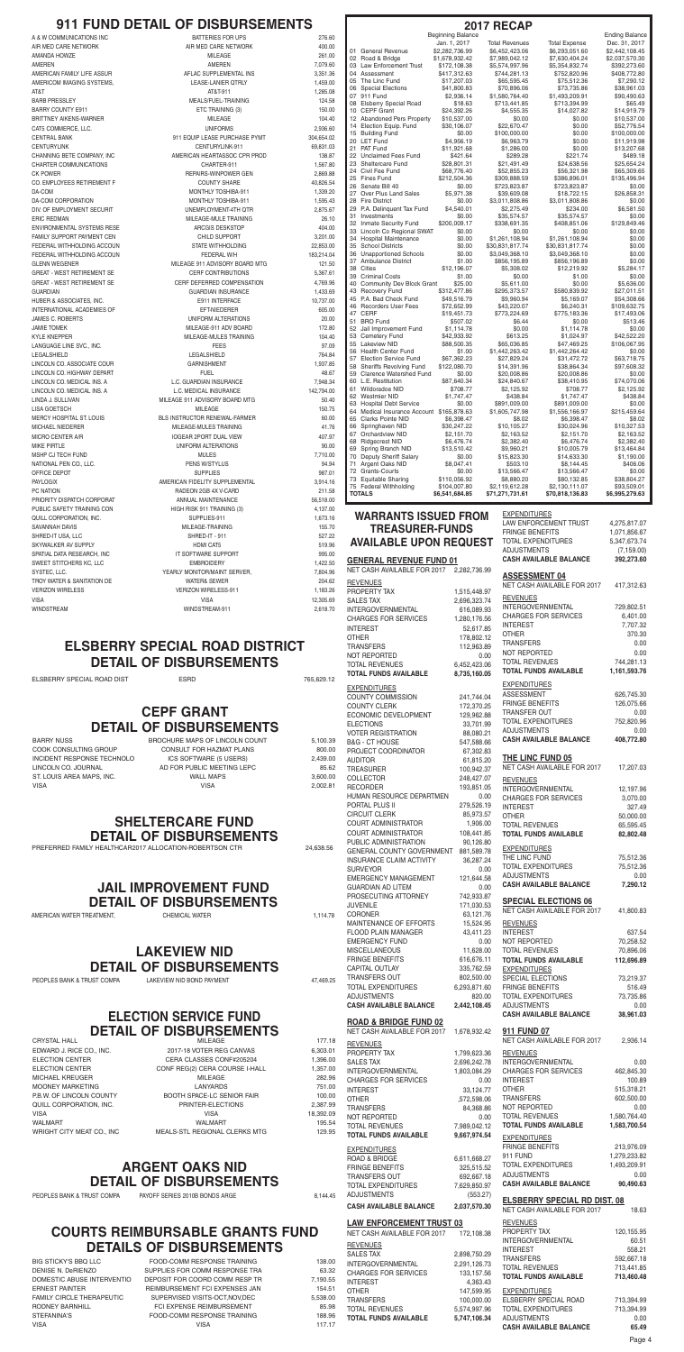#### **JAIL IMPROVEMENT FUND DETAIL OF DISBURSEMENTS**

AMERICAN WATER TREATMENT, CHEMICAL WATER 1,114.78

### **ELECTION SERVICE FUND DETAIL OF DISBURSEMENTS**

CRYSTAL HALL **CRYSTAL HALL MILEAGE 177.18** 

EDWARD J. RICE CO., INC. 2017-18 VOTER REG CANVAS 6,303.01 ELECTION CENTER CERA CLASSES CONF#205204 1,396.00 ELECTION CENTER CONF REG(2) CERA COURSE I-HALL 1,357.00 MICHAEL KREUGER NEEDSTER MILEAGE MILEAGE 282.96 MOONEY MARKETING LANYARDS 751.00 P.B.W. BOOTH SPACE-LC SENIOR FAIR 100.00<br>PRINTER-ELECTIONS 12,387.99 P.B.W. OF LINCOLN COUNTY BOOTH SPACE-LC SENIOR FAIR 100.00<br>QUILL CORPORATION, INC. PRINTER-ELECTIONS 2,387.99 VISA VISA 18,392.09 WALMART WALMART 195.54 WRIGHT CITY MEAT CO., INC **MEALS-STL REGIONAL CLERKS MTG** 129.95

#### **COURTS REIMBURSABLE GRANTS FUND DETAILS OF DISBURSEMENTS**

BIG STICKY'S BBQ LLC FOOD-COMM RESPONSE TRAINING 138.00 DENISE N. DeRIENZO SUPPLIES FOR COMM RESPONSE TRA 63.32 DOMESTIC ABUSE INTERVENTIO DEPOSIT FOR COORD COMM RESP TR  $7,190.55$ ERNEST PAINTER THE REIMBURSEMENT FCI EXPENSES JAN 154.51 FAMILY CIRCLE THERAPEUTIC SUPERVISED VISITS-OCT, NOV, DEC 5558.00 RODNEY BARNHILL **FCI EXPENSE REIMBURSEMENT** 85.98 STEFANINA'S **FOOD-COMM RESPONSE TRAINING** 188.96 VISA VISA 117.17

**SHELTERCARE FUND DETAIL OF DISBURSEMENTS**

PREFERRED FAMILY HEALTHCAR2017 ALLOCATION-ROBERTSON CTR 24,638.56

# **TREASURER-FUNDS**

| NET CASH AVAILABLE FOR 2017                                                                                                                                                                         | 2,282,736.99                                                                                  |                                                       |
|-----------------------------------------------------------------------------------------------------------------------------------------------------------------------------------------------------|-----------------------------------------------------------------------------------------------|-------------------------------------------------------|
| <b>REVENUES</b><br>PROPERTY TAX<br><b>SALES TAX</b><br><b>INTERGOVERNMENTAL</b>                                                                                                                     | 1,515,448.97<br>2,696,323.74<br>616,089.93                                                    | AS:<br>NET<br>RE۱<br><b>INTI</b><br>CH/               |
| <b>CHARGES FOR SERVICES</b><br><b>INTEREST</b><br><b>OTHER</b><br><b>TRANSFERS</b><br>NOT REPORTED<br><b>TOTAL REVENUES</b><br><b>TOTAL FUNDS AVAILABLE</b>                                         | 1,280,176.56<br>52,617.85<br>178,802.12<br>112,963.89<br>0.00<br>6,452,423.06<br>8,735,160.05 | INTI<br>OTH<br>TRA<br>NO <sub>1</sub><br>TOT<br>TOT   |
| <b>EXPENDITURES</b><br><b>COUNTY COMMISSION</b><br><b>COUNTY CLERK</b><br>ECONOMIC DEVELOPMENT<br><b>ELECTIONS</b><br><b>VOTER REGISTRATION</b><br><b>B&amp;G - CT HOUSE</b><br>PROJECT COORDINATOR | 241,744.04<br>172,370.25<br>129,962.88<br>33,701.99<br>88,080.21<br>547,588.66<br>67.302.83   | EXF<br>ASS<br>FRII<br><b>TRA</b><br>TOT<br>ADJ<br>CAS |

COOK CONSULTING GROUP CONSULT FOR HAZMAT PLANS 800.00 INCIDENT RESPONSE TECHNOLO ICS SOFTWARE (5 USERS) 2,439.00 LINCOLN CO. JOURNAL **AD FOR PUBLIC MEETING LEPC** 85.62

BARRY NUSS **BROCHURE MAPS OF LINCOLN COUNT** 5,100.39 WALL MAPS 3,600.00

Beginning Balance **Ending Balance** Ending Balance Jan. 1, 2017 Total Revenues Total Expense Dec. 31, 2017

#### **ELSBERRY SPECIAL ROAD DISTRICT DETAIL OF DISBURSEMENTS**

ELSBERRY SPECIAL ROAD DIST ESRD ESRD 765,629.12

#### **CEPF GRANT DETAIL OF DISBURSEMENTS**

| ST. LUUIS ANEA MAFS. INU. | VYALL IVIAF O | o.ouu.uu |
|---------------------------|---------------|----------|
| <b>VISA</b>               | VISA          | 2.002.81 |

#### **911 FUND DETAIL OF DISBURSEMENTS**

| A & W COMMUNICATIONS INC                         |
|--------------------------------------------------|
| AIR MED CARE NETWORK                             |
| AMANDA HOWZE                                     |
| AMEREN                                           |
| AMERICAN FAMILY LIFE ASSUR                       |
| AMERICOM IMAGING SYSTEMS,                        |
| AT&T                                             |
| <b>BARB PRESSLEY</b>                             |
| <b>BARRY COUNTY E911</b>                         |
| <b>BRITTNEY AIKENS-WARNER</b>                    |
| CAT5 COMMERCE, LLC.                              |
| <b>CENTRAL BANK</b>                              |
| <b>CENTURYLINK</b>                               |
| CHANNING BETE COMPANY, INC                       |
| CHARTER COMMUNICATIONS                           |
| <b>CK POWER</b>                                  |
| CO. EMPLOYEES RETIREMENT F                       |
| DA-COM<br><b>DA-COM CORPORATION</b>              |
| DIV. OF EMPLOYMENT SECURIT                       |
| <b>ERIC REDMAN</b>                               |
| ENVIRONMENTAL SYSTEMS RESE                       |
| FAMILY SUPPORT PAYMENT CEN                       |
| FEDERAL WITHHOLDING ACCOUN                       |
| FEDERAL WITHHOLDING ACCOUN                       |
| <b>GLENN WEGENER</b>                             |
| <b>GREAT - WEST RETIREMENT SE</b>                |
| <b>GREAT - WEST RETIREMENT SE</b>                |
| <b>GUARDIAN</b>                                  |
| HUBER & ASSOCIATES, INC.                         |
| INTERNATIONAL ACADEMIES OF                       |
| <b>JAMES C. ROBERTS</b>                          |
| <b>JAMIE TOMEK</b>                               |
| <b>KYLE KNEPPER</b>                              |
| LANGUAGE LINE SVC., INC.                         |
| <b>LEGALSHIELD</b>                               |
| LINCOLN CO. ASSOCIATE COUR                       |
| LINCOLN CO. HIGHWAY DEPART                       |
| LINCOLN CO. MEDICAL INS. A                       |
| LINCOLN CO. MEDICAL INS. A                       |
| LINDA J. SULLIVAN                                |
| <b>LISA GOETSCH</b>                              |
| MERCY HOSPITAL ST. LOUIS                         |
| MICHAEL NIEDERER                                 |
| MICRO CENTER A/R                                 |
| <b>MIKE PIRTLE</b>                               |
| MSHP CJ TECH FUND                                |
| NATIONAL PEN CO., LLC.                           |
| OFFICE DEPOT                                     |
| <b>PAYLOGIX</b>                                  |
| PC NATION                                        |
| PRIORITY DISPATCH CORPORAT                       |
| PUBLIC SAFETY TRAINING CON                       |
| QUILL CORPORATION. INC.<br><b>SAVANNAH DAVIS</b> |
| SHRED-IT USA, LLC                                |
| SKYWALKER AV SUPPLY                              |
| SPATIAL DATA RESEARCH, INC                       |
| SWEET STITCHERS KC, LLC                          |
| SYSTEC, LLC.                                     |
| TROY WATER & SANITATION DE                       |
| <b>VERIZON WIRELESS</b>                          |
| <b>VISA</b>                                      |
| <b>WINDSTREAM</b>                                |
|                                                  |

**LAKEVIEW NID DETAIL OF DISBURSEMENTS** 

LAKEVIEW NID BOND PAYMENT 47.469.25

| 75 Federal Withholding<br><b>TOTALS</b>                 | \$104,007.80<br>\$6,541,684.85 | \$2,130,111.07<br>\$2,119,612.28<br>\$71,271,731.61<br>\$70,818,136.83 | \$93,509.01<br>\$6,995,279.63 |
|---------------------------------------------------------|--------------------------------|------------------------------------------------------------------------|-------------------------------|
| <b>WARRANTS ISSUED FROM</b>                             |                                | <b>EXPENDITURES</b>                                                    |                               |
|                                                         |                                | <b>LAW ENFORCEMENT TRUST</b>                                           | 4,275,817.07                  |
| <b>TREASURER-FUNDS</b>                                  |                                | <b>FRINGE BENEFITS</b>                                                 | 1,071,856.67                  |
| <b>AVAILABLE UPON REQUEST</b>                           |                                | <b>TOTAL EXPENDITURES</b><br><b>ADJUSTMENTS</b>                        | 5,347,673.74<br>(7, 159.00)   |
| <b>GENERAL REVENUE FUND 01</b>                          |                                | <b>CASH AVAILABLE BALANCE</b>                                          | 392,273.60                    |
| NET CASH AVAILABLE FOR 2017                             | 2,282,736.99                   |                                                                        |                               |
| <b>REVENUES</b>                                         |                                | <b>ASSESSMENT 04</b><br>NET CASH AVAILABLE FOR 2017                    | 417,312.63                    |
| PROPERTY TAX                                            | 1,515,448.97                   |                                                                        |                               |
| <b>SALES TAX</b>                                        | 2,696,323.74                   | <b>REVENUES</b><br>INTERGOVERNMENTAL                                   | 729,802.51                    |
| <b>INTERGOVERNMENTAL</b><br><b>CHARGES FOR SERVICES</b> | 616,089.93<br>1,280,176.56     | <b>CHARGES FOR SERVICES</b>                                            | 6,401.00                      |
| <b>INTEREST</b>                                         | 52,617.85                      | <b>INTEREST</b>                                                        | 7,707.32                      |
| <b>OTHER</b>                                            | 178,802.12                     | <b>OTHER</b><br><b>TRANSFERS</b>                                       | 370.30<br>0.00                |
| <b>TRANSFERS</b><br>NOT REPORTED                        | 112,963.89<br>0.00             | NOT REPORTED                                                           | 0.00                          |
| <b>TOTAL REVENUES</b>                                   | 6,452,423.06                   | <b>TOTAL REVENUES</b>                                                  | 744,281.13                    |
| <b>TOTAL FUNDS AVAILABLE</b>                            | 8,735,160.05                   | <b>TOTAL FUNDS AVAILABLE</b>                                           | 1,161,593.76                  |
| <b>EXPENDITURES</b>                                     |                                | <b>EXPENDITURES</b>                                                    |                               |
| <b>COUNTY COMMISSION</b>                                | 241,744.04                     | <b>ASSESSMENT</b>                                                      | 626,745.30                    |
| <b>COUNTY CLERK</b>                                     | 172,370.25                     | <b>FRINGE BENEFITS</b><br>TRANSFER OUT                                 | 126,075.66<br>0.00            |
| ECONOMIC DEVELOPMENT<br><b>ELECTIONS</b>                | 129,962.88<br>33,701.99        | <b>TOTAL EXPENDITURES</b>                                              | 752,820.96                    |
| <b>VOTER REGISTRATION</b>                               | 88,080.21                      | <b>ADJUSTMENTS</b>                                                     | 0.00                          |
| <b>B&amp;G - CT HOUSE</b>                               | 547,588.66                     | <b>CASH AVAILABLE BALANCE</b>                                          | 408,772.80                    |
| PROJECT COORDINATOR<br><b>AUDITOR</b>                   | 67,302.83<br>61,815.20         | THE LINC FUND 05                                                       |                               |
| <b>TREASURER</b>                                        | 100,942.37                     | NET CASH AVAILABLE FOR 2017                                            | 17,207.03                     |
| <b>COLLECTOR</b>                                        | 248,427.07                     | <b>REVENUES</b>                                                        |                               |
| <b>RECORDER</b>                                         | 193,851.05                     | INTERGOVERNMENTAL                                                      | 12,197.96                     |
| HUMAN RESOURCE DEPARTMEN<br>PORTAL PLUS II              | 0.00<br>279,526.19             | <b>CHARGES FOR SERVICES</b><br><b>INTEREST</b>                         | 3,070.00<br>327.49            |
| <b>CIRCUIT CLERK</b>                                    | 85,973.57                      | <b>OTHER</b>                                                           | 50,000.00                     |
| COURT ADMINISTRATOR                                     | 1,906.00                       | <b>TOTAL REVENUES</b>                                                  | 65,595.45                     |
| <b>COURT ADMINISTRATOR</b><br>PUBLIC ADMINISTRATION     | 108,441.85<br>90,126.80        | <b>TOTAL FUNDS AVAILABLE</b>                                           | 82,802.48                     |
| GENERAL COUNTY GOVERNMENT                               | 881,589.78                     | <b>EXPENDITURES</b>                                                    |                               |
| <b>INSURANCE CLAIM ACTIVITY</b>                         | 36,287.24                      | THE LINC FUND<br><b>TOTAL EXPENDITURES</b>                             | 75,512.36<br>75,512.36        |
| SURVEYOR<br><b>EMERGENCY MANAGEMENT</b>                 | 0.00<br>121,644.58             | <b>ADJUSTMENTS</b>                                                     | 0.00                          |
| <b>GUARDIAN AD LITEM</b>                                | 0.00                           | <b>CASH AVAILABLE BALANCE</b>                                          | 7,290.12                      |
| PROSECUTING ATTORNEY                                    | 742,933.87                     | <b>SPECIAL ELECTIONS 06</b>                                            |                               |
| <b>JUVENILE</b><br><b>CORONER</b>                       | 171,030.53<br>63,121.76        | NET CASH AVAILABLE FOR 2017                                            | 41,800.83                     |
| MAINTENANCE OF EFFORTS                                  | 15,524.95                      | <b>REVENUES</b>                                                        |                               |
| FLOOD PLAIN MANAGER                                     | 43,411.23                      | <b>INTEREST</b>                                                        | 637.54                        |
| <b>EMERGENCY FUND</b><br>MISCELLANEOUS                  | 0.00<br>11,628.00              | NOT REPORTED<br>TOTAL REVENUES                                         | 70,258.52<br>70,896.06        |
| <b>FRINGE BENEFITS</b>                                  | 616,676.11                     | <b>TOTAL FUNDS AVAILABLE</b>                                           | 112,696.89                    |
| CAPITAL OUTLAY                                          | 335,762.59                     | <b>EXPENDITURES</b>                                                    |                               |
| TRANSFERS OUT<br>TOTAL EXPENDITURES                     | 802,500.00<br>6,293,871.60     | <b>SPECIAL ELECTIONS</b><br><b>FRINGE BENEFITS</b>                     | 73,219.37<br>516.49           |
| <b>ADJUSTMENTS</b>                                      | 820.00                         | TOTAL EXPENDITURES                                                     | 73,735.86                     |
| <b>CASH AVAILABLE BALANCE</b>                           | 2,442,108.45                   | <b>ADJUSTMENTS</b>                                                     | 0.00                          |
| <b>ROAD &amp; BRIDGE FUND 02</b>                        |                                | <b>CASH AVAILABLE BALANCE</b>                                          | 38,961.03                     |
| NET CASH AVAILABLE FOR 2017                             | 1,678,932.42                   | 911 FUND 07                                                            |                               |
| <b>REVENUES</b>                                         |                                | NET CASH AVAILABLE FOR 2017                                            | 2,936.14                      |
| PROPERTY TAX                                            | 1,799,623.36                   | <b>REVENUES</b>                                                        |                               |
| <b>SALES TAX</b>                                        | 2,696,242.78                   | INTERGOVERNMENTAL                                                      | 0.00                          |
| <b>INTERGOVERNMENTAL</b><br><b>CHARGES FOR SERVICES</b> | 1,803,084.29<br>0.00           | <b>CHARGES FOR SERVICES</b><br><b>INTEREST</b>                         | 462,845.30<br>100.89          |
| <b>INTEREST</b>                                         | 33,124.77                      | <b>OTHER</b>                                                           | 515,318.21                    |
| <b>OTHER</b>                                            | ,572,598.06                    | TRANSFERS                                                              | 602,500.00                    |
| <b>TRANSFERS</b>                                        | 84,368.86<br>0.00              | NOT REPORTED<br><b>TOTAL REVENUES</b>                                  | 0.00<br>1,580,764.40          |
|                                                         |                                | <b>TOTAL FUNDS AVAILABLE</b>                                           | 1,583,700.54                  |
| NOT REPORTED<br><b>TOTAL REVENUES</b>                   | 7,989,042.12                   |                                                                        |                               |
| <b>TOTAL FUNDS AVAILABLE</b>                            | 9,667,974.54                   | <b>EXPENDITURES</b>                                                    |                               |
| <b>EXPENDITURES</b>                                     |                                | <b>FRINGE BENEFITS</b>                                                 | 213,976.09                    |
| ROAD & BRIDGE                                           | 6,611,668.27                   | 911 FUND                                                               |                               |
| FRINGE BENEFITS                                         | 325,515.52                     | TOTAL EXPENDITURES<br><b>ADJUSTMENTS</b>                               | 1,493,209.91<br>0.00          |
| TRANSFERS OUT<br>TOTAL EXPENDITURES                     | 692,667.18<br>7,629,850.97     | <b>CASH AVAILABLE BALANCE</b>                                          | 90,490.63                     |
| <b>ADJUSTMENTS</b><br><b>CASH AVAILABLE BALANCE</b>     | (553.27)<br>2,037,570.30       | <b>ELSBERRY SPECIAL RD DIST. 08</b>                                    |                               |
|                                                         |                                | NET CASH AVAILABLE FOR 2017                                            | 18.63                         |
| <b>LAW ENFORCEMENT TRUST 03</b>                         |                                | <b>REVENUES</b><br>PROPERTY TAX                                        |                               |
| NET CASH AVAILABLE FOR 2017                             | 172,108.38                     | INTERGOVERNMENTAL                                                      | 60.51                         |
| <b>REVENUES</b><br><b>SALES TAX</b>                     | 2,898,750.29                   | <b>INTEREST</b>                                                        | 558.21                        |
| INTERGOVERNMENTAL                                       | 2,291,126.73                   | TRANSFERS<br><b>TOTAL REVENUES</b>                                     | 713,441.85                    |
| <b>CHARGES FOR SERVICES</b>                             | 133,157.56                     | <b>TOTAL FUNDS AVAILABLE</b>                                           | 713,460.48                    |
| <b>INTEREST</b><br><b>OTHER</b>                         | 4,363.43<br>147,599.95         | <b>EXPENDITURES</b>                                                    | 1,279,233.82<br>120,155.95    |
| <b>TRANSFERS</b>                                        | 100,000.00                     | ELSBERRY SPECIAL ROAD                                                  | 592,667.18<br>713,394.99      |
| <b>TOTAL REVENUES</b><br><b>TOTAL FUNDS AVAILABLE</b>   | 5,574,997.96<br>5,747,106.34   | <b>TOTAL EXPENDITURES</b><br><b>ADJUSTMENTS</b>                        | 713,394.99<br>0.00            |

| A & W COMMUNICATIONS INC             | <b>BATTERIES FOR UPS</b>                         | 276.60          |
|--------------------------------------|--------------------------------------------------|-----------------|
| AIR MED CARE NETWORK                 | AIR MED CARE NETWORK                             | 400.00          |
| AMANDA HOWZE                         | MILEAGE                                          | 261.00          |
| AMFRFN                               | AMEREN                                           | 7,079.60        |
| AMERICAN FAMILY LIFE ASSUR           | AFLAC SUPPLEMENTAL INS                           | 3,351.36        |
| AMERICOM IMAGING SYSTEMS,            | <b>LEASE-LANIER OTRLY</b>                        | 1,459.00        |
| AT&T                                 | AT&T-911                                         | 1,285.08        |
| BARB PRESSLEY                        | MEALS/FUEL-TRAINING                              | 124.58          |
| BARRY COUNTY E911                    | ETC TRAINING (3)                                 | 150.00          |
| BRITTNEY AIKENS-WARNER               | <b>MILEAGE</b>                                   | 104.40          |
| CAT5 COMMERCE, LLC.                  | <b>UNIFORMS</b>                                  | 2,936.60        |
| <b>CENTRAL BANK</b>                  | 911 EQUIP LEASE PURCHASE PYMT                    | 304,654.02      |
| <b>CENTURYLINK</b>                   | CENTURYLINK-911                                  | 69,831.03       |
| CHANNING BETE COMPANY, INC           | AMERICAN HEARTASSOC CPR PROD                     | 138.87          |
| CHARTER COMMUNICATIONS               | CHARTER-911                                      | 1,567.80        |
| CK POWER                             | REPAIRS-WINPOWER GEN                             | 2,869.88        |
| CO. EMPLOYEES RETIREMENT F           | <b>COUNTY SHARE</b>                              | 40,826.54       |
| DA-COM                               | <b>MONTHLY TOSHIBA-911</b>                       | 1,339.20        |
| DA-COM CORPORATION                   | <b>MONTHLY TOSHIBA-911</b>                       | 1,595.43        |
| DIV. OF EMPLOYMENT SECURIT           | UNEMPLOYMENT-4TH QTR                             | 2.875.67        |
| ERIC REDMAN                          | MILEAGE-MULE TRAINING                            | 26.10           |
| ENVIRONMENTAL SYSTEMS RESE           | ARCGIS DESKSTOP                                  | 404.00          |
| FAMILY SUPPORT PAYMENT CEN           | CHILD SUPPORT                                    | 3,201.00        |
| FEDERAL WITHHOLDING ACCOUN           | STATE WITHHOLDING                                | 22,853.00       |
| FEDERAL WITHHOLDING ACCOUN           | <b>FEDERAL W/H</b>                               | 183,214.04      |
| GLENN WEGENER                        | MILEAGE 911 ADVISORY BOARD MTG                   | 121.50          |
| GREAT - WEST RETIREMENT SE           | <b>CERF CONTRIBUTIONS</b>                        | 5.367.61        |
| <b>GREAT - WEST RETIREMENT SE</b>    | CERF DEFERRED COMPENSATION                       | 4,769.96        |
| GUARDIAN                             | <b>GUARDIAN INSURANCE</b>                        | 1,433.69        |
| HUBER & ASSOCIATES, INC.             | E911 INTERFACE                                   | 10,737.00       |
| INTERNATIONAL ACADEMIES OF           | EFT-NIEDERER                                     | 605.00          |
| JAMES C. ROBERTS                     | UNIFORM ALTERATIONS                              | 20.00           |
| JAMIE TOMEK                          | MILEAGE-911 ADV BOARD                            | 172.80          |
| KYLE KNEPPER                         | MILEAGE-MULES TRAINING                           | 104.40          |
| LANGUAGE LINE SVC., INC.             | <b>FEES</b>                                      | 97.09           |
| LEGALSHIELD                          | LEGALSHIELD                                      | 764.84          |
| LINCOLN CO. ASSOCIATE COUR           | <b>GARNISHMENT</b>                               | 1,937.85        |
| LINCOLN CO. HIGHWAY DEPART           | <b>FUEL</b>                                      | 48.67           |
| LINCOLN CO. MEDICAL INS. A           | L.C. GUARDIAN INSURANCE                          | 7,948.34        |
| LINCOLN CO. MEDICAL INS. A           | L.C. MEDICAL INSURANCE                           | 142,794.00      |
| LINDA J. SULLIVAN                    | MILEAGE 911 ADVISORY BOARD MTG                   | 50.40           |
| LISA GOETSCH                         | <b>MILEAGE</b>                                   | 150.75          |
| MERCY HOSPITAL ST. LOUIS             | BLS INSTRUCTOR RENEWAL-FARMER                    | 60.00           |
| MICHAEL NIEDERER<br>MICRO CENTER A/R | MILEAGE-MULES TRAINING<br>IOGEAR 2PORT DUAL VIEW | 41.76           |
| MIKE PIRTLE                          | UNIFORM ALTERATIONS                              | 407.97<br>90.00 |
| MSHP CJ TECH FUND                    | <b>MULES</b>                                     | 7,710.00        |
| NATIONAL PEN CO., LLC.               | PENS W/STYLUS                                    | 94.94           |
| OFFICE DEPOT                         | <b>SUPPLIES</b>                                  | 987.01          |
| PAYLOGIX                             | AMERICAN FIDELITY SUPPLEMENTAL                   | 3,914.16        |
| PC NATION                            | RADEON 2GB 4X V-CARD                             | 211.58          |
| PRIORITY DISPATCH CORPORAT           | ANNUAL MAINTENANCE                               | 56,518.00       |
| PUBLIC SAFETY TRAINING CON           | HIGH RISK 911 TRAINING (3)                       | 4,137.00        |
| QUILL CORPORATION, INC.              | SUPPLIES-911                                     | 1,673.16        |
| SAVANNAH DAVIS                       | MILEAGE-TRAINING                                 | 155.70          |
| SHRED-IT USA, LLC                    | SHRED-IT - 911                                   | 527.22          |
| SKYWALKER AV SUPPLY                  | <b>HDMI CAT5</b>                                 | 519.96          |
| SPATIAL DATA RESEARCH, INC           | IT SOFTWARE SUPPORT                              | 995.00          |
| SWEET STITCHERS KC, LLC              | <b>EMBROIDERY</b>                                | 1,422.50        |
| SYSTEC, LLC.                         | YEARLY MONITOR/MAINT SERVER,                     | 7,804.96        |
| TROY WATER & SANITATION DE           | <b>WATER&amp; SEWER</b>                          | 204.62          |
| VERIZON WIRELESS                     | <b>VERIZON WIRELESS-911</b>                      | 1,183.26        |
| VISA                                 | <b>VISA</b>                                      | 12,305.69       |
| WINDSTREAM                           | WINDSTREAM-911                                   | 2,618.70        |
|                                      |                                                  |                 |

**2017 RECAP**

01 General Revenue \$2,282,736.99 \$6,452,423.06 \$6,293,051.60 \$2,442,108.45

| 02               | Road & Bridge                  | \$1,678,932.42 | \$7,989,042.12  | \$7,630,404.24  | \$2,037,570.30 |
|------------------|--------------------------------|----------------|-----------------|-----------------|----------------|
| 03               | Law Enforcement Trust          | \$172,108.38   | \$5,574,997.96  | \$5,354,832.74  | \$392,273.60   |
| 04               | Assessment                     | \$417,312.63   | \$744,281.13    | \$752,820.96    | \$408,772.80   |
| 05               | The Linc Fund                  | \$17,207.03    | \$65,595.45     | \$75,512.36     | \$7,290.12     |
| 06               | <b>Special Elections</b>       | \$41,800.83    | \$70,896.06     | \$73,735.86     | \$38,961.03    |
| 07               | 911 Fund                       | \$2,936.14     | \$1,580,764.40  | \$1,493,209.91  | \$90,490.63    |
| 08               | <b>Elsberry Special Road</b>   | \$18.63        | \$713,441.85    | \$713,394.99    | \$65.49        |
| $10^{-1}$        | <b>CEPF Grant</b>              | \$24,392.26    | \$4,555.35      | \$14,027.82     | \$14,919.79    |
| 12 <sup>2</sup>  | <b>Abandoned Pers Property</b> | \$10,537.00    | \$0.00          | \$0.00          | \$10,537.00    |
| 14               | Election Equip. Fund           | \$30,106.07    | \$22,670.47     | \$0.00          | \$52,776.54    |
| 15 <sup>15</sup> | <b>Building Fund</b>           | \$0.00         | \$100,000.00    | \$0.00          | \$100,000.00   |
|                  | 20 LET Fund                    | \$4,956.19     | \$6,963.79      | \$0.00          | \$11,919.98    |
| 21               | PAT Fund                       | \$11,921.68    | \$1,286.00      | \$0.00          | \$13,207.68    |
| $22^{\circ}$     | <b>Unclaimed Fees Fund</b>     | \$421.64       | \$289.28        | \$221.74        | \$489.18       |
| 23               | Sheltercare Fund               | \$28,801.31    | \$21,491.49     | \$24,638.56     | \$25,654.24    |
| 24               | Civil Fee Fund                 | \$68,776.40    | \$52,855.23     | \$56,321.98     | \$65,309.65    |
|                  | 25 Fines Fund                  | \$212,504.36   | \$309,888.59    | \$386,896.01    | \$135,496.94   |
| 26               | Senate Bill 40                 | \$0.00         | \$723,823.87    | \$723,823.87    | \$0.00         |
| 27               | Over Plus Land Sales           | \$5,971.38     | \$39,609.08     | \$18,722.15     | \$26,858.31    |
|                  | 28 Fire District               | \$0.00         | \$3,011,808.86  | \$3,011,808.86  | \$0.00         |
| 29               | P.A. Delinquent Tax Fund       | \$4,540.01     | \$2,275.49      | \$234.00        | \$6,581.50     |
| 31               | Investments                    | \$0.00         | \$35,574.57     | \$35,574.57     | \$0.00         |
| 32               | Inmate Security Fund           | \$200,009.17   | \$338,691.35    | \$408,851.06    | \$129,849.46   |
| 33               | Lincoln Co Regional SWAT       | \$0.00         | \$0.00          | \$0.00          | \$0.00         |
|                  | 34 Hospital Maintenance        | \$0.00         | \$1,261,108.94  | \$1,261,108.94  | \$0.00         |
| 35               | <b>School Districts</b>        | \$0.00         | \$30,831,817.74 | \$30,831,817.74 | \$0.00         |
| 36               | <b>Unapportioned Schools</b>   | \$0.00         | \$3,049,368.10  | \$3,049,368.10  | \$0.00         |
| 37               | <b>Ambulance District</b>      | \$1.00         | \$856,195.89    | \$856,196.89    | \$0.00         |
|                  | 38 Cities                      | \$12,196.07    | \$5,308.02      | \$12,219.92     | \$5,284.17     |
|                  | 39 Criminal Costs              | \$1.00         | \$0.00          | \$1.00          | \$0.00         |
|                  | 40 Community Dev Block Grant   | \$25.00        | \$5,611.00      | \$0.00          | \$5,636.00     |
|                  | 43 Recovery Fund               | \$312,477.86   | \$295,373.57    | \$580,839.92    | \$27,011.51    |
|                  | 45 P.A. Bad Check Fund         | \$49,516.79    | \$9,960.94      | \$5,169.07      | \$54,308.66    |
| 46               | <b>Recorders User Fees</b>     | \$72,652.99    | \$43,220.07     | \$6,240.31      | \$109,632.75   |
| 47               | <b>CERF</b>                    | \$19,451.73    | \$773,224.69    | \$775,183.36    | \$17,493.06    |
| 51               | <b>BRO Fund</b>                | \$507.02       | \$6.44          | \$0.00          | \$513.46       |
| 52               | Jail Improvement Fund          | \$1,114.78     | \$0.00          | \$1,114.78      | \$0.00         |
| 53               | Cemetery Fund                  | \$42,933.92    | \$613.25        | \$1,024.97      | \$42,522.20    |
|                  | 55 Lakeview NID                | \$88,500.35    | \$65,036.85     | \$47,469.25     | \$106,067.95   |
|                  | 56 Health Center Fund          | \$1.00         | \$1,442,263.42  | \$1,442,264.42  | \$0.00         |
| 57               | <b>Election Service Fund</b>   | \$67,362.23    | \$27,829.24     | \$31,472.72     | \$63,718.75    |
| 58               | <b>Sheriffs Revolving Fund</b> | \$122,080.70   | \$14,391.96     | \$38,864.34     | \$97,608.32    |
| 59               | <b>Clarence Watershed Fund</b> | \$0.00         | \$20,008.86     | \$20,008.86     | \$0.00         |
|                  | 60 L.E. Restitution            | \$87,640.34    | \$24,840.67     | \$38,410.95     | \$74,070.06    |
| 61               | <b>Wildoradoe NID</b>          | \$708.77       | \$2,125.92      | \$708.77        | \$2,125.92     |
|                  | 62 Westmier NID                | \$1,747.47     | \$438.84        | \$1,747.47      | \$438.84       |
| 63               | <b>Hospital Debt Service</b>   | \$0.00         | \$891,009.00    | \$891,009.00    | \$0.00         |
| 64               | Medical Insurance Account      | \$165,878.63   | \$1,605,747.98  | \$1,556,166.97  | \$215,459.64   |
| 65               | <b>Clarks Pointe NID</b>       | \$6,398.47     | \$8.02          | \$6,398.47      | \$8.02         |
| 66               | Springhaven NID                | \$30,247.22    | \$10,105.27     | \$30,024.96     | \$10,327.53    |
| 67               | Orchardview NID                | \$2,151.70     | \$2,163.52      | \$2,151.70      | \$2,163.52     |
| 68               | <b>Ridgecrest NID</b>          | \$6,476.74     | \$2,382.40      | \$6,476.74      | \$2,382.40     |
| 69               | Spring Branch NID              | \$13,510.42    | \$9,960.21      | \$10,005.79     | \$13,464.84    |
| 70               | Deputy Sheriff Salary          | \$0.00         | \$15,823.30     | \$14,633.30     | \$1,190.00     |
| 71               | Argent Oaks NID                | \$8,047.41     | \$503.10        | \$8,144.45      | \$406.06       |
| 72               | Grants-Courts                  | \$0.00         | \$13,566.47     | \$13,566.47     | \$0.00         |
| 73               | Equitable Sharing              | \$110,056.92   | \$8,880.20      | \$80,132.85     | \$38,804.27    |
| 75.              | <b>Federal Withholding</b>     | \$104 007 80   | \$2 119 612 28  | \$2 130 111 07  | \$93,509.01    |

#### **ARGENT OAKS NID DETAIL OF DISBURSEMENTS**

PEOPLES BANK & TRUST COMPA PAYOFF SERIES 2010B BONDS ARGE 8,144.45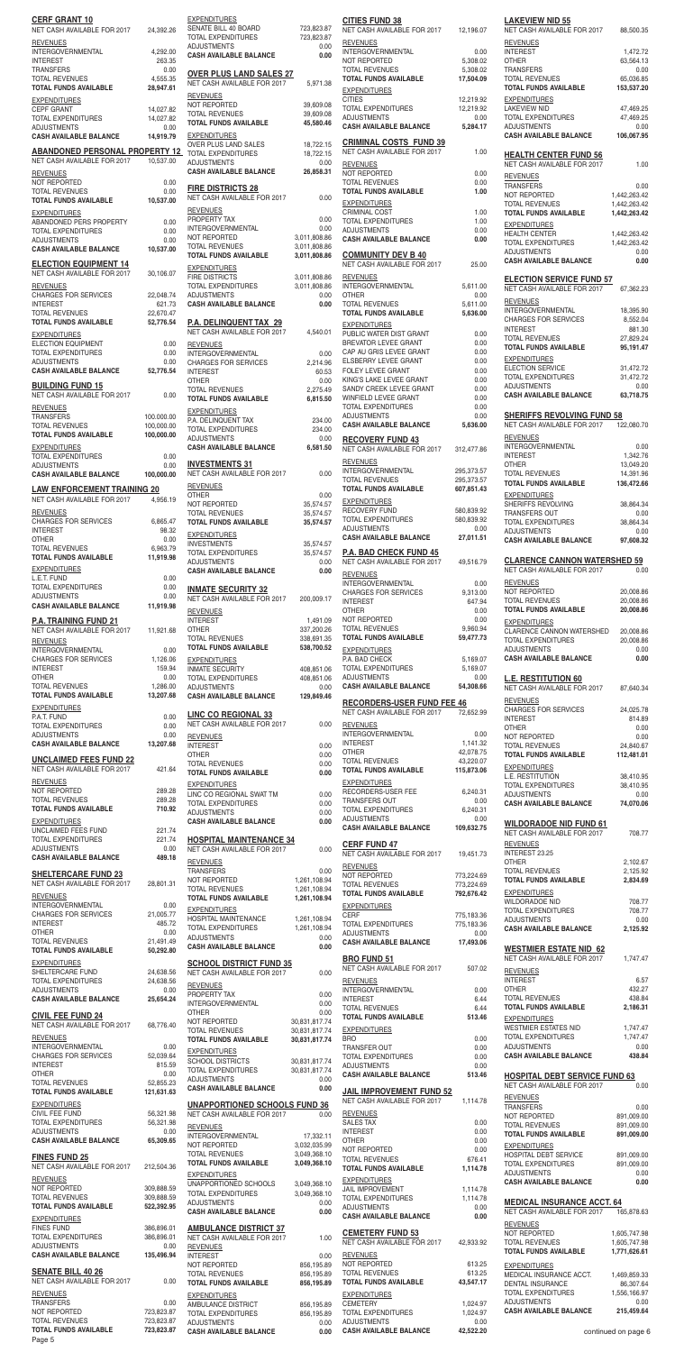| <b>CERF GRANT 10</b><br>NET CASH AVAILABLE FOR 2017                              | 24,392.26                              | <b>EXPENDITURES</b><br><b>SENATE BILL 40</b>                                  |
|----------------------------------------------------------------------------------|----------------------------------------|-------------------------------------------------------------------------------|
| <b>REVENUES</b><br>INTERGOVERNMENTAL                                             | 4,292.00                               | <b>TOTAL EXPENDIT</b><br>ADJUSTMENTS<br><b>CASH AVAILABL</b>                  |
| <b>INTEREST</b><br><b>TRANSFERS</b><br><b>TOTAL REVENUES</b>                     | 263.35<br>0.00<br>4,555.35             | <b>OVER PLUS L</b>                                                            |
| <b>TOTAL FUNDS AVAILABLE</b><br><b>EXPENDITURES</b>                              | 28,947.61                              | <b>NET CASH AVAIL</b><br><b>REVENUES</b><br>NOT REPORTED                      |
| <b>CEPF GRANT</b><br><b>TOTAL EXPENDITURES</b><br><b>ADJUSTMENTS</b>             | 14,027.82<br>14,027.82<br>0.00         | <b>TOTAL REVENUE</b><br><b>TOTAL FUNDS A'</b>                                 |
| <b>CASH AVAILABLE BALANCE</b>                                                    | 14,919.79                              | <b>EXPENDITURES</b><br>OVER PLUS LAN                                          |
| ABANDONED PERSONAL PROPERTY 12<br>NET CASH AVAILABLE FOR 2017                    | 10,537.00                              | <b>TOTAL EXPENDIT</b><br>ADJUSTMENTS<br><b>CASH AVAILABL</b>                  |
| <b>REVENUES</b><br>NOT REPORTED<br><b>TOTAL REVENUES</b>                         | 0.00<br>0.00                           | <b>FIRE DISTRIC</b>                                                           |
| <b>TOTAL FUNDS AVAILABLE</b><br><b>EXPENDITURES</b>                              | 10,537.00                              | <b>NET CASH AVAIL</b><br><b>REVENUES</b>                                      |
| ABANDONED PERS PROPERTY<br><b>TOTAL EXPENDITURES</b><br><b>ADJUSTMENTS</b>       | 0.00<br>0.00<br>0.00                   | PROPERTY TAX<br><b>INTERGOVERNM</b><br>NOT REPORTED                           |
| <b>CASH AVAILABLE BALANCE</b><br><b>ELECTION EQUIPMENT 14</b>                    | 10,537.00                              | <b>TOTAL REVENUE</b><br><b>TOTAL FUNDS A'</b>                                 |
| NET CASH AVAILABLE FOR 2017<br><b>REVENUES</b>                                   | 30,106.07                              | <b>EXPENDITURES</b><br><b>FIRE DISTRICTS</b><br><b>TOTAL EXPENDIT</b>         |
| <b>CHARGES FOR SERVICES</b><br><b>INTEREST</b>                                   | 22,048.74<br>621.73                    | ADJUSTMENTS<br><b>CASH AVAILABL</b>                                           |
| <b>TOTAL REVENUES</b><br><b>TOTAL FUNDS AVAILABLE</b>                            | 22,670.47<br>52,776.54                 | <b>P.A. DELINQU</b><br><b>NET CASH AVAIL</b>                                  |
| <b>EXPENDITURES</b><br><b>ELECTION EQUIPMENT</b><br><b>TOTAL EXPENDITURES</b>    | 0.00<br>0.00                           | <b>REVENUES</b><br><b>INTERGOVERNM</b>                                        |
| <b>ADJUSTMENTS</b><br><b>CASH AVAILABLE BALANCE</b>                              | 0.00<br>52,776.54                      | <b>CHARGES FOR S</b><br><b>INTEREST</b>                                       |
| <b>BUILDING FUND 15</b><br>NET CASH AVAILABLE FOR 2017                           | 0.00                                   | <b>OTHER</b><br><b>TOTAL REVENUE</b><br><b>TOTAL FUNDS AV</b>                 |
| <b>REVENUES</b><br><b>TRANSFERS</b>                                              | 100.000.00                             | <b>EXPENDITURES</b><br>P.A. DELINQUEN                                         |
| <b>TOTAL REVENUES</b><br><b>TOTAL FUNDS AVAILABLE</b><br><b>EXPENDITURES</b>     | 100,000.00<br>100,000.00               | <b>TOTAL EXPENDIT</b><br>ADJUSTMENTS<br><b>CASH AVAILABL</b>                  |
| <b>TOTAL EXPENDITURES</b><br><b>ADJUSTMENTS</b>                                  | 0.00<br>0.00                           | <b>INVESTMENTS</b>                                                            |
| <b>CASH AVAILABLE BALANCE</b><br><b>LAW ENFORCEMENT TRAINING 20</b>              | 100,000.00                             | <b>NET CASH AVAIL</b><br><b>REVENUES</b>                                      |
| NET CASH AVAILABLE FOR 2017<br><b>REVENUES</b>                                   | 4,956.19                               | <b>OTHER</b><br>NOT REPORTED<br><b>TOTAL REVENUE</b>                          |
| <b>CHARGES FOR SERVICES</b><br><b>INTEREST</b><br><b>OTHER</b>                   | 6,865.47<br>98.32<br>0.00              | <b>TOTAL FUNDS AT</b><br><b>EXPENDITURES</b>                                  |
| <b>TOTAL REVENUES</b><br><b>TOTAL FUNDS AVAILABLE</b>                            | 6,963.79<br>11,919.98                  | <b>INVESTMENTS</b><br><b>TOTAL EXPENDIT</b><br>ADJUSTMENTS                    |
| <b>EXPENDITURES</b><br>L.E.T. FUND                                               | 0.00                                   | <b>CASH AVAILABL</b>                                                          |
| <b>TOTAL EXPENDITURES</b><br><b>ADJUSTMENTS</b><br><b>CASH AVAILABLE BALANCE</b> | 0.00<br>0.00<br>11,919.98              | <b>INMATE SECU</b><br><b>NET CASH AVAIL</b>                                   |
| <b>P.A. TRAINING FUND 21</b><br>NET CASH AVAILABLE FOR 2017                      | 11,921.68                              | <b>REVENUES</b><br><b>INTEREST</b><br><b>OTHER</b>                            |
| <b>REVENUES</b><br><b>INTERGOVERNMENTAL</b>                                      | 0.00                                   | <b>TOTAL REVENUE</b><br><b>TOTAL FUNDS AT</b>                                 |
| <b>CHARGES FOR SERVICES</b><br><b>INTEREST</b><br>OTHER                          | 1,126.06<br>159.94<br>0.00             | <b>EXPENDITURES</b><br><b>INMATE SECURIT</b><br><b>TOTAL EXPENDIT</b>         |
| <b>TOTAL REVENUES</b><br><b>TOTAL FUNDS AVAILABLE</b>                            | 1,286.00<br>13,207.68                  | <b>ADJUSTMENTS</b><br><b>CASH AVAILABL</b>                                    |
| <b>EXPENDITURES</b><br>P.A.T. FUND<br><b>TOTAL EXPENDITURES</b>                  | 0.00                                   | <b>LINC CO REG</b><br><b>NET CASH AVAIL</b>                                   |
| <b>ADJUSTMENTS</b><br><b>CASH AVAILABLE BALANCE</b>                              | 0.00<br>0.00<br>13,207.68              | <b>REVENUES</b><br><b>INTEREST</b>                                            |
| <b>UNCLAIMED FEES FUND 22</b><br>NET CASH AVAILABLE FOR 2017                     | 421.64                                 | <b>OTHER</b><br><b>TOTAL REVENUE</b><br><b>TOTAL FUNDS AV</b>                 |
| <b>REVENUES</b><br>NOT REPORTED                                                  |                                        |                                                                               |
| <b>TOTAL REVENUES</b>                                                            | 289.28                                 | <b>EXPENDITURES</b><br>LINC CO REGION                                         |
| <b>TOTAL FUNDS AVAILABLE</b>                                                     | 289.28<br>710.92                       | <b>TOTAL EXPENDIT</b><br>ADJUSTMENTS                                          |
| <b>EXPENDITURES</b><br>UNCLAIMED FEES FUND<br><b>TOTAL EXPENDITURES</b>          | 221.74<br>221.74                       | <b>CASH AVAILABL</b>                                                          |
| <b>ADJUSTMENTS</b><br><b>CASH AVAILABLE BALANCE</b>                              | 0.00<br>489.18                         | <b>HOSPITAL MA</b><br><b>NET CASH AVAIL</b><br><b>REVENUES</b>                |
| <b>SHELTERCARE FUND 23</b><br>NET CASH AVAILABLE FOR 2017                        | 28,801.31                              | <b>TRANSFERS</b><br>NOT REPORTED                                              |
| <b>REVENUES</b><br><b>INTERGOVERNMENTAL</b>                                      | 0.00                                   | <b>TOTAL REVENUE</b><br><b>TOTAL FUNDS A'</b>                                 |
| <b>CHARGES FOR SERVICES</b><br><b>INTEREST</b><br><b>OTHER</b>                   | 21,005.77<br>485.72<br>0.00            | <b>EXPENDITURES</b><br>HOSPITAL MAINT<br><b>TOTAL EXPENDIT</b>                |
| <b>TOTAL REVENUES</b><br><b>TOTAL FUNDS AVAILABLE</b>                            | 21,491.49<br>50,292.80                 | <b>ADJUSTMENTS</b><br><b>CASH AVAILABL</b>                                    |
| <b>EXPENDITURES</b><br>SHELTERCARE FUND                                          | 24,638.56                              | <b>SCHOOL DIST</b><br><b>NET CASH AVAIL</b>                                   |
| <b>TOTAL EXPENDITURES</b><br><b>ADJUSTMENTS</b><br><b>CASH AVAILABLE BALANCE</b> | 24,638.56<br>0.00<br>25,654.24         | <b>REVENUES</b><br>PROPERTY TAX                                               |
| <b>CIVIL FEE FUND 24</b><br>NET CASH AVAILABLE FOR 2017                          | 68,776.40                              | <b>INTERGOVERNM</b><br>OTHER<br>NOT REPORTED                                  |
| <b>REVENUES</b><br><b>INTERGOVERNMENTAL</b>                                      | 0.00                                   | <b>TOTAL REVENUE</b><br><b>TOTAL FUNDS A'</b>                                 |
| <b>CHARGES FOR SERVICES</b><br><b>INTEREST</b>                                   | 52,039.64<br>815.59                    | <b>EXPENDITURES</b><br><b>SCHOOL DISTRI</b><br><b>TOTAL EXPENDIT</b>          |
| <b>OTHER</b><br><b>TOTAL REVENUES</b><br><b>TOTAL FUNDS AVAILABLE</b>            | 0.00<br>52,855.23<br>121,631.63        | <b>ADJUSTMENTS</b><br><b>CASH AVAILABL</b>                                    |
| <b>EXPENDITURES</b><br>CIVIL FEE FUND                                            | 56,321.98                              | <b>UNAPPORTIO</b><br><b>NET CASH AVAIL</b>                                    |
| TOTAL EXPENDITURES<br><b>ADJUSTMENTS</b><br><b>CASH AVAILABLE BALANCE</b>        | 56,321.98<br>0.00<br>65,309.65         | <b>REVENUES</b><br><b>INTERGOVERNM</b>                                        |
| <b>FINES FUND 25</b>                                                             |                                        | NOT REPORTED<br><b>TOTAL REVENUE</b><br><b>TOTAL FUNDS A'</b>                 |
| NET CASH AVAILABLE FOR 2017 212,504.36<br><b>REVENUES</b>                        |                                        | <b>EXPENDITURES</b><br><b>UNAPPORTIONE</b>                                    |
| NOT REPORTED<br><b>TOTAL REVENUES</b><br><b>TOTAL FUNDS AVAILABLE</b>            | 309,888.59<br>309,888.59<br>522,392.95 | TOTAL EXPENDIT<br>ADJUSTMENTS                                                 |
| <b>EXPENDITURES</b><br><b>FINES FUND</b>                                         | 386,896.01                             | <b>CASH AVAILABL</b><br><b>AMBULANCE</b>                                      |
| <b>TOTAL EXPENDITURES</b><br><b>ADJUSTMENTS</b><br><b>CASH AVAILABLE BALANCE</b> | 386,896.01<br>0.00<br>135,496.94       | <b>NET CASH AVAIL</b><br><b>REVENUES</b><br><b>INTEREST</b>                   |
| <b>SENATE BILL 40 26</b>                                                         |                                        | NOT REPORTED<br><b>TOTAL REVENUE</b>                                          |
| NET CASH AVAILABLE FOR 2017<br><b>REVENUES</b><br><b>TRANSFERS</b>               | 0.00<br>0.00                           | <b>TOTAL FUNDS A'</b><br><b>EXPENDITURES</b>                                  |
| NOT REPORTED<br><b>TOTAL REVENUES</b><br><b>TOTAL FUNDS AVAILABLE</b>            | 723,823.87<br>723,823.87<br>723,823.87 | AMBULANCE DIS<br><b>TOTAL EXPENDIT</b><br>ADJUSTMENTS<br><b>CASH AVAILABL</b> |

| <b>EXPENDITURES</b><br>SENATE BILL 40 BOARD                             | 723,823.87                       | <b>CITIES FUND 38</b><br>NET CASH AVAILABLE FOR 2017               | 12,196.07                    |
|-------------------------------------------------------------------------|----------------------------------|--------------------------------------------------------------------|------------------------------|
| TOTAL EXPENDITURES<br><b>ADJUSTMENTS</b>                                | 723,823.87<br>0.00               | <b>REVENUES</b><br>INTERGOVERNMENTAL                               | 0.00                         |
| <b>CASH AVAILABLE BALANCE</b>                                           | 0.00                             | NOT REPORTED<br><b>TOTAL REVENUES</b>                              | 5,308.02<br>5,308.02         |
| <b>OVER PLUS LAND SALES 27</b><br>NET CASH AVAILABLE FOR 2017           | 5,971.38                         | <b>TOTAL FUNDS AVAILABLE</b><br><b>EXPENDITURES</b>                | 17,504.09                    |
| <b>REVENUES</b><br>NOT REPORTED                                         | 39,609.08                        | <b>CITIES</b><br><b>TOTAL EXPENDITURES</b>                         | 12,219.92<br>12,219.92       |
| <b>TOTAL REVENUES</b><br><b>TOTAL FUNDS AVAILABLE</b>                   | 39,609.08<br>45,580.46           | <b>ADJUSTMENTS</b><br><b>CASH AVAILABLE BALANCE</b>                | 0.00<br>5.284.17             |
| <b>EXPENDITURES</b><br>OVER PLUS LAND SALES                             | 18,722.15                        | <b>CRIMINAL COSTS FUND 39</b>                                      |                              |
| <b>TOTAL EXPENDITURES</b><br><b>ADJUSTMENTS</b>                         | 18,722.15<br>0.00                | NET CASH AVAILABLE FOR 2017<br><b>REVENUES</b>                     | 1.00                         |
| <b>CASH AVAILABLE BALANCE</b>                                           | 26,858.31                        | NOT REPORTED<br><b>TOTAL REVENUES</b>                              | 0.00<br>0.00                 |
| <b>FIRE DISTRICTS 28</b><br>NET CASH AVAILABLE FOR 2017                 | 0.00                             | <b>TOTAL FUNDS AVAILABLE</b><br><b>EXPENDITURES</b>                | 1.00                         |
| <b>REVENUES</b><br>PROPERTY TAX                                         | 0.00                             | CRIMINAL COST<br><b>TOTAL EXPENDITURES</b>                         | 1.00<br>1.00                 |
| <b>INTERGOVERNMENTAL</b><br>NOT REPORTED                                | 0.00<br>3,011,808.86             | <b>ADJUSTMENTS</b><br><b>CASH AVAILABLE BALANCE</b>                | 0.00<br>0.00                 |
| <b>TOTAL REVENUES</b><br><b>TOTAL FUNDS AVAILABLE</b>                   | 3,011,808.86<br>3,011,808.86     | <b>COMMUNITY DEV B 40</b>                                          |                              |
| <b>EXPENDITURES</b><br><b>FIRE DISTRICTS</b>                            | 3,011,808.86                     | NET CASH AVAILABLE FOR 2017<br><b>REVENUES</b>                     | 25.00                        |
| <b>TOTAL EXPENDITURES</b><br><b>ADJUSTMENTS</b>                         | 3,011,808.86<br>0.00             | INTERGOVERNMENTAL<br><b>OTHER</b>                                  | 5,611.00<br>0.00             |
| <b>CASH AVAILABLE BALANCE</b>                                           | 0.00                             | TOTAL REVENUES<br><b>TOTAL FUNDS AVAILABLE</b>                     | 5,611.00<br>5,636.00         |
| <b>P.A. DELINQUENT TAX 29</b><br>NET CASH AVAILABLE FOR 2017            | 4,540.01                         | <b>EXPENDITURES</b><br>PUBLIC WATER DIST GRANT                     | 0.00                         |
| <b>REVENUES</b><br>INTERGOVERNMENTAL                                    | 0.00                             | BREVATOR LEVEE GRANT<br>CAP AU GRIS LEVEE GRANT                    | 0.00<br>0.00                 |
| <b>CHARGES FOR SERVICES</b><br><b>INTEREST</b>                          | 2,214.96<br>60.53                | ELSBERRY LEVEE GRANT<br><b>FOLEY LEVEE GRANT</b>                   | 0.00<br>0.00                 |
| <b>OTHER</b><br><b>TOTAL REVENUES</b>                                   | 0.00<br>2,275.49                 | KING'S LAKE LEVEE GRANT<br>SANDY CREEK LEVEE GRANT                 | 0.00<br>0.00                 |
| <b>TOTAL FUNDS AVAILABLE</b><br><b>EXPENDITURES</b>                     | 6,815.50                         | WINFIELD LEVEE GRANT<br><b>TOTAL EXPENDITURES</b>                  | 0.00<br>0.00                 |
| P.A. DELINQUENT TAX<br>TOTAL EXPENDITURES                               | 234.00<br>234.00                 | <b>ADJUSTMENTS</b><br><b>CASH AVAILABLE BALANCE</b>                | 0.00<br>5,636.00             |
| <b>ADJUSTMENTS</b><br><b>CASH AVAILABLE BALANCE</b>                     | 0.00<br>6,581.50                 | <b>RECOVERY FUND 43</b>                                            |                              |
| <b>INVESTMENTS 31</b>                                                   |                                  | NET CASH AVAILABLE FOR 2017<br><b>REVENUES</b>                     | 312,477.86                   |
| NET CASH AVAILABLE FOR 2017                                             | 0.00                             | INTERGOVERNMENTAL<br><b>TOTAL REVENUES</b>                         | 295,373.57<br>295,373.57     |
| <b>REVENUES</b><br><b>OTHER</b><br>NOT REPORTED                         | 0.00<br>35,574.57                | <b>TOTAL FUNDS AVAILABLE</b><br><b>EXPENDITURES</b>                | 607,851.43                   |
| <b>TOTAL REVENUES</b><br><b>TOTAL FUNDS AVAILABLE</b>                   | 35,574.57<br>35,574.57           | RECOVERY FUND<br>TOTAL EXPENDITURES                                | 580,839.92<br>580,839.92     |
| <b>EXPENDITURES</b>                                                     |                                  | <b>ADJUSTMENTS</b><br><b>CASH AVAILABLE BALANCE</b>                | 0.00<br>27,011.51            |
| <b>INVESTMENTS</b><br>TOTAL EXPENDITURES                                | 35,574.57<br>35,574.57           | <b>P.A. BAD CHECK FUND 45</b>                                      |                              |
| <b>ADJUSTMENTS</b><br><b>CASH AVAILABLE BALANCE</b>                     | 0.00<br>0.00                     | NET CASH AVAILABLE FOR 2017<br><b>REVENUES</b>                     | 49,516.79                    |
| <b>INMATE SECURITY 32</b><br>NET CASH AVAILABLE FOR 2017                | 200,009.17                       | <b>INTERGOVERNMENTAL</b><br><b>CHARGES FOR SERVICES</b>            | 0.00<br>9,313.00             |
| <b>REVENUES</b>                                                         |                                  | <b>INTEREST</b><br><b>OTHER</b>                                    | 647.94<br>0.00               |
| <b>INTEREST</b><br><b>OTHER</b>                                         | 1,491.09<br>337,200.26           | NOT REPORTED<br><b>TOTAL REVENUES</b>                              | 0.00<br>9,960.94             |
| <b>TOTAL REVENUES</b><br><b>TOTAL FUNDS AVAILABLE</b>                   | 338,691.35<br>538,700.52         | <b>TOTAL FUNDS AVAILABLE</b><br><b>EXPENDITURES</b>                | 59,477.73                    |
| <b>EXPENDITURES</b><br><b>INMATE SECURITY</b>                           | 408,851.06                       | P.A. BAD CHECK<br><b>TOTAL EXPENDITURES</b>                        | 5,169.07<br>5,169.07         |
|                                                                         |                                  |                                                                    |                              |
| TOTAL EXPENDITURES<br><b>ADJUSTMENTS</b>                                | 408,851.06<br>0.00               | <b>ADJUSTMENTS</b><br><b>CASH AVAILABLE BALANCE</b>                | 0.00<br>54,308.66            |
| <b>CASH AVAILABLE BALANCE</b>                                           | 129,849.46                       | <b>RECORDERS-USER FUND FEE 46</b>                                  |                              |
| <b>LINC CO REGIONAL 33</b><br>NET CASH AVAILABLE FOR 2017               | 0.00                             | NET CASH AVAILABLE FOR 2017<br><b>REVENUES</b>                     | 72,652.99                    |
| <b>REVENUES</b><br><b>INTEREST</b>                                      | 0.00                             | INTERGOVERNMENTAL<br><b>INTEREST</b>                               | 0.00<br>1,141.32             |
| <b>OTHER</b><br><b>TOTAL REVENUES</b>                                   | 0.00<br>0.00                     | <b>OTHER</b><br><b>TOTAL REVENUES</b>                              | 42,078.75<br>43,220.07       |
| <b>TOTAL FUNDS AVAILABLE</b><br><b>EXPENDITURES</b>                     | 0.00                             | <b>TOTAL FUNDS AVAILABLE</b><br><b>EXPENDITURES</b>                | 115,873.06                   |
| LINC CO REGIONAL SWAT TM<br><b>TOTAL EXPENDITURES</b>                   | 0.00<br>0.00                     | RECORDERS-USER FEE<br><b>TRANSFERS OUT</b>                         | 6,240.31<br>0.00             |
| <b>ADJUSTMENTS</b><br><b>CASH AVAILABLE BALANCE</b>                     | 0.00<br>0.00                     | <b>TOTAL EXPENDITURES</b><br><b>ADJUSTMENTS</b>                    | 6,240.31<br>0.00             |
| <b>HOSPITAL MAINTENANCE 34</b>                                          |                                  | <b>CASH AVAILABLE BALANCE</b>                                      | 109,632.75                   |
| NET CASH AVAILABLE FOR 2017<br><b>REVENUES</b>                          | 0.00                             | <b>CERF FUND 47</b><br>NET CASH AVAILABLE FOR 2017                 | 19,451.73                    |
| <b>TRANSFERS</b><br>NOT REPORTED                                        | 0.00<br>1,261,108.94             | <b>REVENUES</b><br>NOT REPORTED                                    | 773,224.69                   |
| <b>TOTAL REVENUES</b><br><b>TOTAL FUNDS AVAILABLE</b>                   | 1,261,108.94<br>1,261,108.94     | <b>TOTAL REVENUES</b><br><b>TOTAL FUNDS AVAILABLE</b>              | 773,224.69<br>792,676.42     |
| <b>EXPENDITURES</b>                                                     |                                  | <b>EXPENDITURES</b><br><b>CERF</b>                                 | 775,183.36                   |
| HOSPITAL MAINTENANCE<br><b>TOTAL EXPENDITURES</b><br><b>ADJUSTMENTS</b> | 1,261,108.94<br>1,261,108.94     | TOTAL EXPENDITURES<br><b>ADJUSTMENTS</b>                           | 775,183.36<br>0.00           |
| <b>CASH AVAILABLE BALANCE</b>                                           | 0.00<br>0.00                     | <b>CASH AVAILABLE BALANCE</b>                                      | 17,493.06                    |
| <b>SCHOOL DISTRICT FUND 35</b><br>NET CASH AVAILABLE FOR 2017           | 0.00                             | <b>BRO FUND 51</b><br>NET CASH AVAILABLE FOR 2017                  | 507.02                       |
| <b>REVENUES</b><br>PROPERTY TAX                                         | 0.00                             | <b>REVENUES</b><br>INTERGOVERNMENTAL                               | 0.00                         |
| INTERGOVERNMENTAL<br><b>OTHER</b>                                       | 0.00<br>0.00                     | <b>INTEREST</b><br><b>TOTAL REVENUES</b>                           | 6.44<br>6.44                 |
| NOT REPORTED<br><b>TOTAL REVENUES</b>                                   | 30,831,817.74<br>30,831,817.74   | <b>TOTAL FUNDS AVAILABLE</b><br><b>EXPENDITURES</b>                | 513.46                       |
| <b>TOTAL FUNDS AVAILABLE</b><br><b>EXPENDITURES</b>                     | 30,831,817.74                    | <b>BRO</b><br>TRANSFER OUT                                         | 0.00<br>0.00                 |
| <b>SCHOOL DISTRICTS</b><br><b>TOTAL EXPENDITURES</b>                    | 30,831,817.74<br>30,831,817.74   | <b>TOTAL EXPENDITURES</b><br><b>ADJUSTMENTS</b>                    | 0.00<br>0.00                 |
| <b>ADJUSTMENTS</b><br><b>CASH AVAILABLE BALANCE</b>                     | 0.00<br>0.00                     | <b>CASH AVAILABLE BALANCE</b>                                      | 513.46                       |
| <b>UNAPPORTIONED SCHOOLS FUND 36</b>                                    |                                  | <b>JAIL IMPROVEMENT FUND 52</b><br>NET CASH AVAILABLE FOR 2017     | 1,114.78                     |
| NET CASH AVAILABLE FOR 2017<br><b>REVENUES</b>                          | 0.00                             | <b>REVENUES</b><br><b>SALES TAX</b>                                | 0.00                         |
| INTERGOVERNMENTAL<br>NOT REPORTED                                       | 17,332.11<br>3,032,035.99        | <b>INTEREST</b><br><b>OTHER</b>                                    | 0.00<br>0.00                 |
| <b>TOTAL REVENUES</b><br><b>TOTAL FUNDS AVAILABLE</b>                   | 3,049,368.10<br>3,049,368.10     | NOT REPORTED<br><b>TOTAL REVENUES</b>                              | 0.00<br>676.41               |
| <b>EXPENDITURES</b><br>UNAPPORTIONED SCHOOLS                            | 3,049,368.10                     | <b>TOTAL FUNDS AVAILABLE</b><br><b>EXPENDITURES</b>                | 1,114.78                     |
| TOTAL EXPENDITURES<br><b>ADJUSTMENTS</b>                                | 3,049,368.10<br>0.00             | <b>JAIL IMPROVEMENT</b><br>TOTAL EXPENDITURES                      | 1,114.78<br>1,114.78         |
| <b>CASH AVAILABLE BALANCE</b>                                           | 0.00                             | <b>ADJUSTMENTS</b><br><b>CASH AVAILABLE BALANCE</b>                | 0.00<br>0.00                 |
| <b>AMBULANCE DISTRICT 37</b><br>NET CASH AVAILABLE FOR 2017             | 1.00                             | <b>CEMETERY FUND 53</b>                                            | 42,933.92                    |
| <b>REVENUES</b><br><b>INTEREST</b>                                      | 0.00                             | NET CASH AVAILABLE FOR 2017<br><b>REVENUES</b>                     |                              |
| NOT REPORTED<br><b>TOTAL REVENUES</b>                                   | 856,195.89<br>856,195.89         | NOT REPORTED<br><b>TOTAL REVENUES</b>                              | 613.25<br>613.25             |
| <b>TOTAL FUNDS AVAILABLE</b><br><b>EXPENDITURES</b>                     | 856,195.89                       | <b>TOTAL FUNDS AVAILABLE</b><br><b>EXPENDITURES</b>                | 43,547.17                    |
| AMBULANCE DISTRICT<br><b>TOTAL EXPENDITURES</b><br><b>ADJUSTMENTS</b>   | 856,195.89<br>856,195.89<br>0.00 | <b>CEMETERY</b><br><b>TOTAL EXPENDITURES</b><br><b>ADJUSTMENTS</b> | 1,024.97<br>1,024.97<br>0.00 |

|                | 12,196.07                            | <b>LAKEVIEW NID 55</b><br>NET CASH AVAILABLE FOR 2017                    | 88,500.35                                 |
|----------------|--------------------------------------|--------------------------------------------------------------------------|-------------------------------------------|
|                | 0.00                                 | <b>REVENUES</b><br><b>INTEREST</b>                                       | 1,472.72                                  |
|                | 5,308.02<br>5,308.02                 | OTHER<br><b>TRANSFERS</b>                                                | 63,564.13<br>0.00                         |
|                | 17,504.09                            | <b>TOTAL REVENUES</b><br><b>TOTAL FUNDS AVAILABLE</b>                    | 65,036.85<br>153,537.20                   |
|                | 12,219.92<br>12,219.92               | <b>EXPENDITURES</b><br><b>LAKEVIEW NID</b>                               | 47,469.25                                 |
|                | 0.00<br>5,284.17                     | TOTAL EXPENDITURES<br><b>ADJUSTMENTS</b>                                 | 47,469.25<br>0.00                         |
|                |                                      | <b>CASH AVAILABLE BALANCE</b>                                            | 106,067.95                                |
|                | 1.00                                 | <b>HEALTH CENTER FUND 56</b><br>NET CASH AVAILABLE FOR 2017              | 1.00                                      |
|                | 0.00<br>0.00                         | <b>REVENUES</b><br><b>TRANSFERS</b>                                      | 0.00                                      |
|                | 1.00                                 | NOT REPORTED<br><b>TOTAL REVENUES</b>                                    | 1,442,263.42<br>1,442,263.42              |
|                | 1.00<br>1.00                         | <b>TOTAL FUNDS AVAILABLE</b><br><b>EXPENDITURES</b>                      | 1,442,263.42                              |
|                | 0.00<br>0.00                         | <b>HEALTH CENTER</b><br><b>TOTAL EXPENDITURES</b>                        | 1,442,263.42<br>1,442,263.42              |
|                |                                      | <b>ADJUSTMENTS</b><br><b>CASH AVAILABLE BALANCE</b>                      | 0.00<br>0.00                              |
|                | 25.00                                | <b>ELECTION SERVICE FUND 57</b>                                          |                                           |
|                | 5,611.00<br>0.00                     | <b>NET CASH AVAILABLE FOR 2017</b><br><b>REVENUES</b>                    | 67,362.23                                 |
|                | 5,611.00<br>5,636.00                 | <b>INTERGOVERNMENTAL</b><br><b>CHARGES FOR SERVICES</b>                  | 18,395.90<br>8,552.04                     |
|                | 0.00                                 | <b>INTEREST</b><br><b>TOTAL REVENUES</b>                                 | 881.30<br>27,829.24                       |
|                | 0.00<br>0.00                         | <b>TOTAL FUNDS AVAILABLE</b><br><b>EXPENDITURES</b>                      | 95,191.47                                 |
|                | 0.00<br>0.00                         | <b>ELECTION SERVICE</b><br><b>TOTAL EXPENDITURES</b>                     | 31,472.72<br>31,472.72                    |
|                | 0.00<br>0.00                         | <b>ADJUSTMENTS</b><br><b>CASH AVAILABLE BALANCE</b>                      | 0.00<br>63,718.75                         |
|                | 0.00<br>0.00<br>0.00                 | <b>SHERIFFS REVOLVING FUND 58</b>                                        |                                           |
|                | 5,636.00                             | NET CASH AVAILABLE FOR 2017                                              | 122,080.70                                |
|                | 312,477.86                           | <b>REVENUES</b><br><b>INTERGOVERNMENTAL</b>                              | 0.00                                      |
|                | 295,373.57                           | <b>INTEREST</b><br>OTHER                                                 | 1,342.76<br>13,049.20                     |
|                | 295,373.57<br>607,851.43             | <b>TOTAL REVENUES</b><br><b>TOTAL FUNDS AVAILABLE</b>                    | 14,391.96<br>136,472.66                   |
|                |                                      | <b>EXPENDITURES</b><br>SHERIFFS REVOLVING                                | 38,864.34                                 |
|                | 580,839.92<br>580,839.92<br>0.00     | <b>TRANSFERS OUT</b><br><b>TOTAL EXPENDITURES</b>                        | 0.00<br>38,864.34                         |
|                | 27,011.51                            | ADJUSTMENTS<br><b>CASH AVAILABLE BALANCE</b>                             | 0.00<br>97,608.32                         |
|                | 49,516.79                            | <b>CLARENCE CANNON WATERSHED 59</b>                                      |                                           |
|                | 0.00                                 | NET CASH AVAILABLE FOR 2017<br><b>REVENUES</b>                           | 0.00                                      |
|                | 9,313.00<br>647.94                   | NOT REPORTED<br><b>TOTAL REVENUES</b>                                    | 20,008.86<br>20,008.86                    |
|                | 0.00<br>0.00                         | <b>TOTAL FUNDS AVAILABLE</b><br><b>EXPENDITURES</b>                      | 20,008.86                                 |
|                | 9,960.94<br>59,477.73                | CLARENCE CANNON WATERSHED<br><b>TOTAL EXPENDITURES</b>                   | 20,008.86<br>20,008.86                    |
|                | 5,169.07                             | <b>ADJUSTMENTS</b><br><b>CASH AVAILABLE BALANCE</b>                      | 0.00<br>0.00                              |
|                | 5,169.07<br>0.00                     | <b>L.E. RESTITUTION 60</b>                                               |                                           |
|                | 54,308.66<br>EE 46                   | NET CASH AVAILABLE FOR 2017<br><b>REVENUES</b>                           | 87,640.34                                 |
|                | 72,652.99                            | <b>CHARGES FOR SERVICES</b><br>INTEREST<br>OTHER                         | 24,025.78<br>814.89<br>0.00               |
|                | 0.00<br>1,141.32                     | <b>NOT REPORTED</b><br><b>TOTAL REVENUES</b>                             | 0.00<br>24,840.67                         |
|                | 42,078.75<br>43,220.07<br>115,873.06 | <b>TOTAL FUNDS AVAILABLE</b><br><b>EXPENDITURES</b>                      | 112,481.01                                |
|                |                                      | <b>L.E. RESTITUTION</b><br>TOTAL EXPENDITURES                            | 38,410.95<br>38,410.95                    |
|                | 6,240.31<br>0.00<br>6,240.31         | <b>ADJUSTMENTS</b><br><b>CASH AVAILABLE BALANCE</b>                      | 0.00<br>74,070.06                         |
|                | 0.00<br>109,632.75                   | <b>WILDORADOE NID FUND 61</b>                                            |                                           |
|                |                                      | NET CASH AVAILABLE FOR 2017<br><b>REVENUES</b>                           | 708.77                                    |
|                | 19,451.73                            | INTEREST 23.25<br><b>OTHER</b>                                           | 2,102.67                                  |
|                | 773,224.69<br>773,224.69             | <b>TOTAL REVENUES</b><br><b>TOTAL FUNDS AVAILABLE</b>                    | 2,125.92<br>2,834.69                      |
|                | 792,676.42                           | <b>EXPENDITURES</b><br><b>WILDORADOE NID</b>                             | 708.77                                    |
|                | 775,183.36<br>775,183.36             | <b>TOTAL EXPENDITURES</b><br><b>ADJUSTMENTS</b>                          | 708.77<br>0.00                            |
|                | 0.00<br>17,493.06                    | <b>CASH AVAILABLE BALANCE</b>                                            | 2,125.92                                  |
|                |                                      | <b>WESTMIER ESTATE NID 62</b><br>NET CASH AVAILABLE FOR 2017             | 1,747.47                                  |
|                | 507.02                               | <b>REVENUES</b><br><b>INTEREST</b>                                       | 6.57                                      |
|                | 0.00<br>6.44                         | <b>OTHER</b><br><b>TOTAL REVENUES</b>                                    | 432.27<br>438.84                          |
|                | 6.44<br>513.46                       | <b>TOTAL FUNDS AVAILABLE</b><br><b>EXPENDITURES</b>                      | 2,186.31                                  |
|                | 0.00                                 | <b>WESTMIER ESTATES NID</b><br><b>TOTAL EXPENDITURES</b>                 | 1,747.47<br>1,747.47                      |
|                | 0.00<br>0.00                         | <b>ADJUSTMENTS</b><br><b>CASH AVAILABLE BALANCE</b>                      | 0.00<br>438.84                            |
|                | 0.00<br>513.46                       | <b>HOSPITAL DEBT SERVICE FUND 63</b>                                     |                                           |
| $\overline{2}$ | 1,114.78                             | NET CASH AVAILABLE FOR 2017<br><b>REVENUES</b>                           | 0.00                                      |
|                |                                      | <b>TRANSFERS</b><br>NOT REPORTED                                         | 0.00<br>891,009.00                        |
|                | 0.00<br>0.00                         | <b>TOTAL REVENUES</b><br><b>TOTAL FUNDS AVAILABLE</b>                    | 891,009.00<br>891,009.00                  |
|                | 0.00<br>0.00<br>676.41               | <b>EXPENDITURES</b><br>HOSPITAL DEBT SERVICE                             | 891,009.00                                |
|                | 1,114.78                             | <b>TOTAL EXPENDITURES</b><br>ADJUSTMENTS                                 | 891,009.00<br>0.00                        |
|                | 1,114.78<br>1,114.78                 | <b>CASH AVAILABLE BALANCE</b>                                            | 0.00                                      |
|                | 0.00<br>0.00                         | <b>MEDICAL INSURANCE ACCT. 64</b><br>NET CASH AVAILABLE FOR 2017         | 165,878.63                                |
|                |                                      | <b>REVENUES</b><br>NOT REPORTED                                          | 1,605,747.98                              |
|                | 42,933.92                            | <b>TOTAL REVENUES</b><br>TOTAL FUNDS AVAILABLE                           | 1,605,747.98<br>1,771,626.61              |
|                | 613.25<br>613.25                     | <b>EXPENDITURES</b>                                                      |                                           |
|                | 43,547.17                            | MEDICAL INSURANCE ACCT.<br><b>DENTAL INSURANCE</b><br>TOTAL EXPENDITURES | 1,469,859.33<br>86,307.64<br>1,556,166.97 |
|                | 1,024.97                             | <b>ADJUSTMENTS</b><br><b>CASH AVAILABLE BALANCE</b>                      | 0.00<br>215,459.64                        |
|                | 1,024.97<br>0.00<br>42,522.20        |                                                                          | continued on page 6                       |
|                |                                      |                                                                          |                                           |